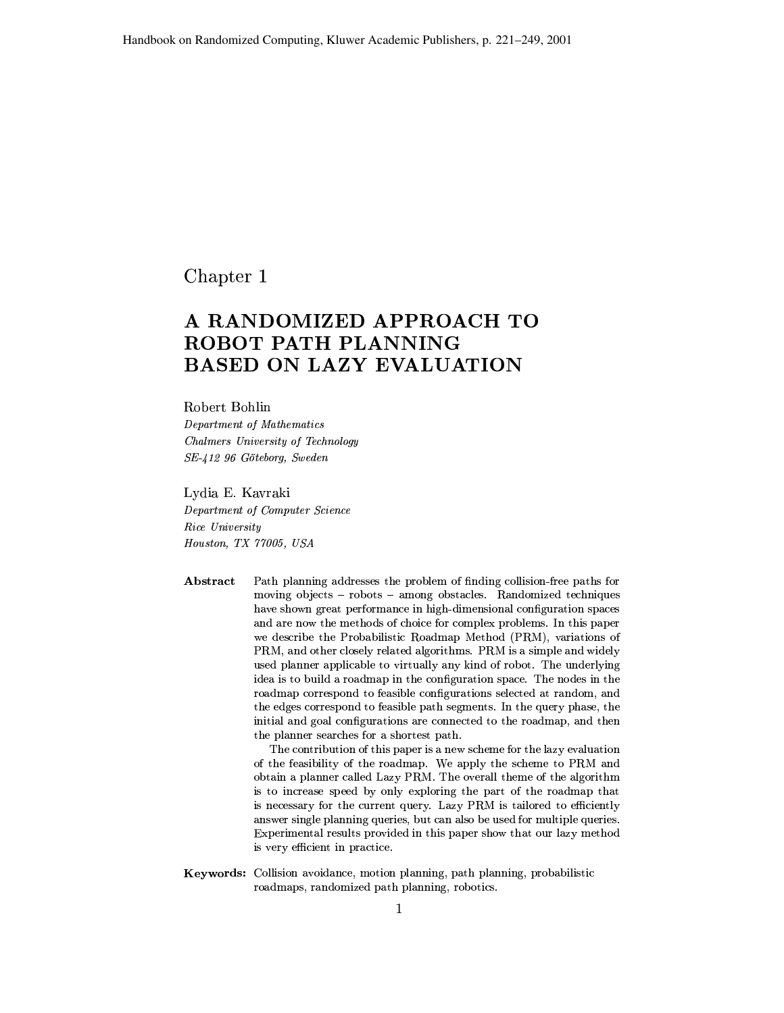Chapter 1

# A RANDOMIZED APPROACH TO ROBOT PATH PLANNING **BASED ON LAZY EVALUATION**

### Robert Bohlin

Department of Mathematics Chalmers University of Technology SE-412 96 Göteborg, Sweden

Lydia E. Kavraki

Department of Computer Science Rice University Houston, TX 77005, USA

Abstract Path planning addresses the problem of finding collision-free paths for moving objects - robots - among obstacles. Randomized techniques have shown great performance in high-dimensional configuration spaces and are now the methods of choice for complex problems. In this paper we describe the Probabilistic Roadmap Method (PRM), variations of PRM, and other closely related algorithms. PRM is a simple and widely used planner applicable to virtually any kind of robot. The underlying idea is to build a roadmap in the configuration space. The nodes in the roadmap correspond to feasible configurations selected at random, and the edges correspond to feasible path segments. In the query phase, the initial and goal configurations are connected to the roadmap, and then the planner searches for a shortest path.

> The contribution of this paper is a new scheme for the lazy evaluation of the feasibility of the roadmap. We apply the scheme to PRM and obtain a planner called Lazy PRM. The overall theme of the algorithm is to increase speed by only exploring the part of the roadmap that is necessary for the current query. Lazy PRM is tailored to efficiently answer single planning queries, but can also be used for multiple queries. Experimental results provided in this paper show that our lazy method is very efficient in practice.

Keywords: Collision avoidance, motion planning, path planning, probabilistic roadmaps, randomized path planning, robotics.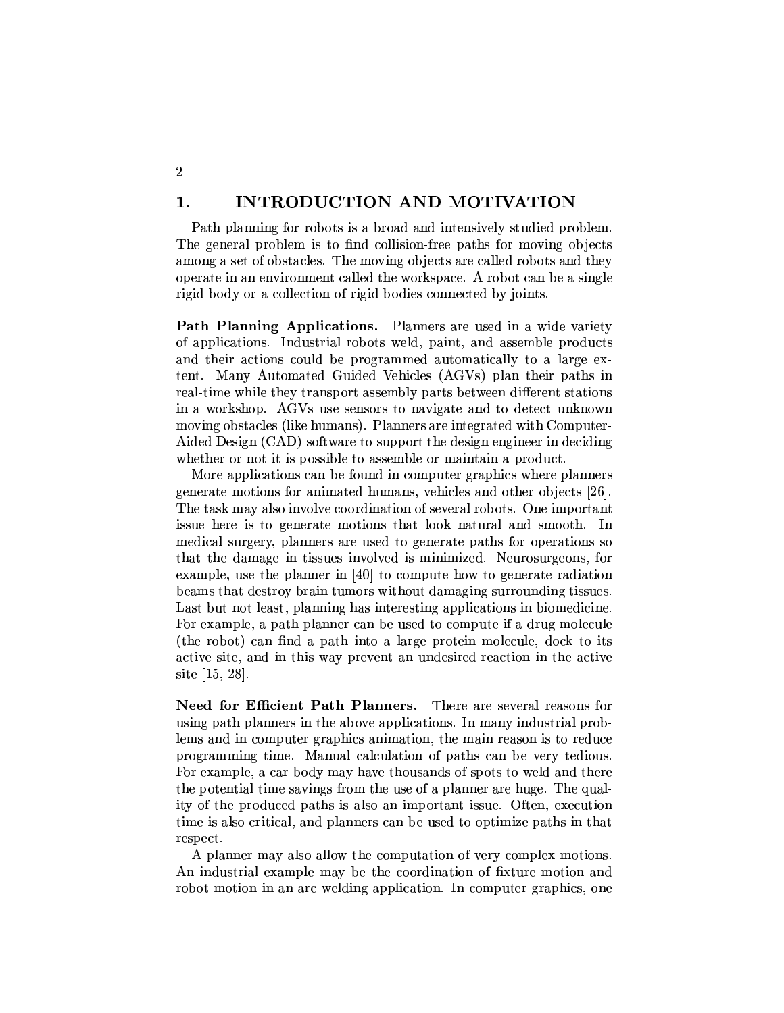#### $\mathbf{1}$ . **INTRODUCTION AND MOTIVATION**

 $\overline{2}$ 

Path planning for robots is a broad and intensively studied problem. The general problem is to find collision-free paths for moving objects among a set of obstacles. The moving objects are called robots and they operate in an environment called the workspace. A robot can be a single rigid body or a collection of rigid bodies connected by joints.

**Path Planning Applications.** Planners are used in a wide variety of applications. Industrial robots weld, paint, and assemble products and their actions could be programmed automatically to a large extent. Many Automated Guided Vehicles (AGVs) plan their paths in real-time while they transport assembly parts between different stations in a workshop. AGVs use sensors to navigate and to detect unknown moving obstacles (like humans). Planners are integrated with Computer-Aided Design (CAD) software to support the design engineer in deciding whether or not it is possible to assemble or maintain a product.

More applications can be found in computer graphics where planners generate motions for animated humans, vehicles and other objects [26]. The task may also involve coordination of several robots. One important issue here is to generate motions that look natural and smooth. In medical surgery, planners are used to generate paths for operations so that the damage in tissues involved is minimized. Neurosurgeons, for example, use the planner in [40] to compute how to generate radiation beams that destroy brain tumors without damaging surrounding tissues. Last but not least, planning has interesting applications in biomedicine. For example, a path planner can be used to compute if a drug molecule (the robot) can find a path into a large protein molecule, dock to its active site, and in this way prevent an undesired reaction in the active site [15, 28].

Need for Efficient Path Planners. There are several reasons for using path planners in the above applications. In many industrial problems and in computer graphics animation, the main reason is to reduce programming time. Manual calculation of paths can be very tedious. For example, a car body may have thousands of spots to weld and there the potential time savings from the use of a planner are huge. The quality of the produced paths is also an important issue. Often, execution time is also critical, and planners can be used to optimize paths in that respect.

A planner may also allow the computation of very complex motions. An industrial example may be the coordination of fixture motion and robot motion in an arc welding application. In computer graphics, one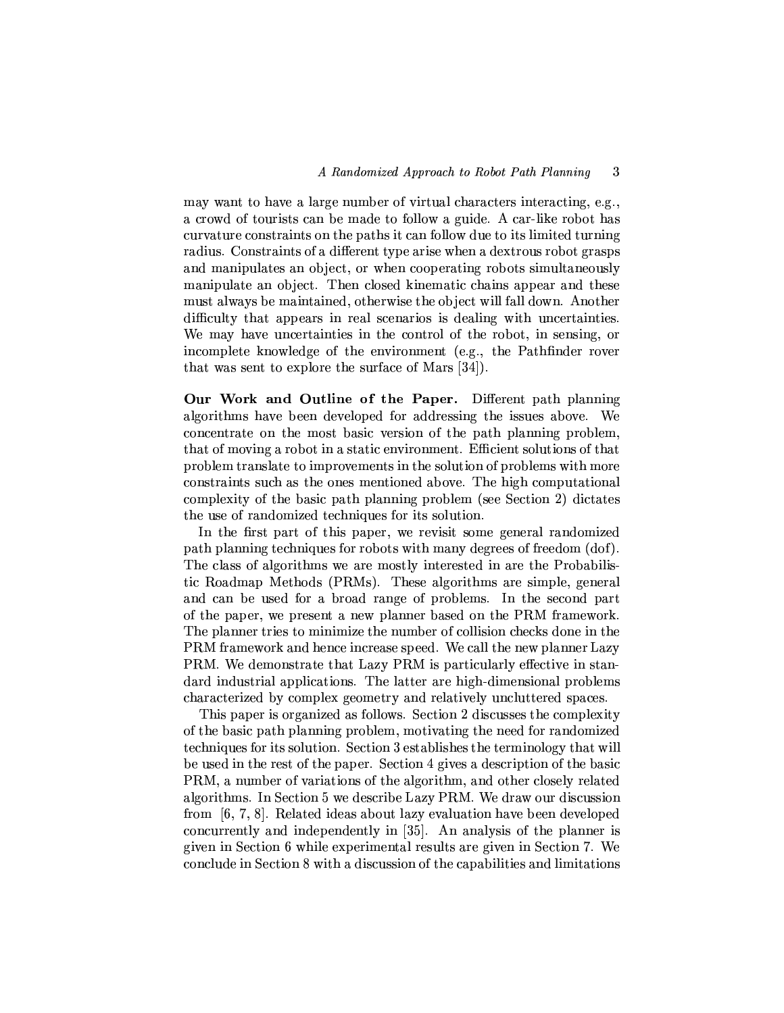may want to have a large number of virtual characters interacting, e.g., a crowd of tourists can be made to follow a guide. A car-like robot has curvature constraints on the paths it can follow due to its limited turning radius. Constraints of a different type arise when a dextrous robot grasps and manipulates an object, or when cooperating robots simultaneously manipulate an object. Then closed kinematic chains appear and these must always be maintained, otherwise the object will fall down. Another difficulty that appears in real scenarios is dealing with uncertainties. We may have uncertainties in the control of the robot, in sensing, or incomplete knowledge of the environment (e.g., the Pathfinder rover that was sent to explore the surface of Mars [34].

Our Work and Outline of the Paper. Different path planning algorithms have been developed for addressing the issues above. We concentrate on the most basic version of the path planning problem, that of moving a robot in a static environment. Efficient solutions of that problem translate to improvements in the solution of problems with more constraints such as the ones mentioned above. The high computational complexity of the basic path planning problem (see Section 2) dictates the use of randomized techniques for its solution.

In the first part of this paper, we revisit some general randomized path planning techniques for robots with many degrees of freedom (dof). The class of algorithms we are mostly interested in are the Probabilistic Roadmap Methods (PRMs). These algorithms are simple, general and can be used for a broad range of problems. In the second part of the paper, we present a new planner based on the PRM framework. The planner tries to minimize the number of collision checks done in the PRM framework and hence increase speed. We call the new planner Lazy PRM. We demonstrate that Lazy PRM is particularly effective in standard industrial applications. The latter are high-dimensional problems characterized by complex geometry and relatively uncluttered spaces.

This paper is organized as follows. Section 2 discusses the complexity of the basic path planning problem, motivating the need for randomized techniques for its solution. Section 3 establishes the terminology that will be used in the rest of the paper. Section 4 gives a description of the basic PRM, a number of variations of the algorithm, and other closely related algorithms. In Section 5 we describe Lazy PRM. We draw our discussion from  $[6, 7, 8]$ . Related ideas about lazy evaluation have been developed concurrently and independently in [35]. An analysis of the planner is given in Section 6 while experimental results are given in Section 7. We conclude in Section 8 with a discussion of the capabilities and limitations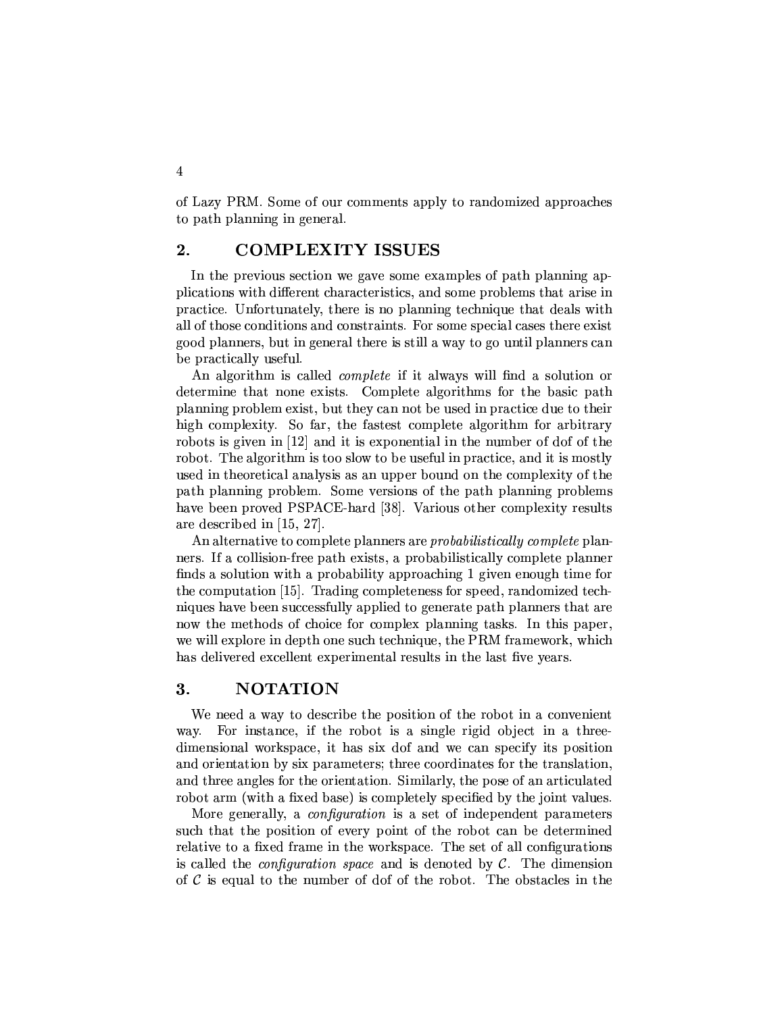of Lazy PRM. Some of our comments apply to randomized approaches to path planning in general.

#### $2.$ **COMPLEXITY ISSUES**

In the previous section we gave some examples of path planning applications with different characteristics, and some problems that arise in practice. Unfortunately, there is no planning technique that deals with all of those conditions and constraints. For some special cases there exist good planners, but in general there is still a way to go until planners can be practically useful.

An algorithm is called *complete* if it always will find a solution or determine that none exists. Complete algorithms for the basic path planning problem exist, but they can not be used in practice due to their high complexity. So far, the fastest complete algorithm for arbitrary robots is given in [12] and it is exponential in the number of dof of the robot. The algorithm is too slow to be useful in practice, and it is mostly used in theoretical analysis as an upper bound on the complexity of the path planning problem. Some versions of the path planning problems have been proved PSPACE-hard [38]. Various other complexity results are described in  $[15, 27]$ .

An alternative to complete planners are *probabilistically complete* planners. If a collision-free path exists, a probabilistically complete planner finds a solution with a probability approaching 1 given enough time for the computation [15]. Trading completeness for speed, randomized techniques have been successfully applied to generate path planners that are now the methods of choice for complex planning tasks. In this paper, we will explore in depth one such technique, the PRM framework, which has delivered excellent experimental results in the last five years.

#### 3. **NOTATION**

We need a way to describe the position of the robot in a convenient For instance, if the robot is a single rigid object in a threeway. dimensional workspace, it has six dof and we can specify its position and orientation by six parameters; three coordinates for the translation, and three angles for the orientation. Similarly, the pose of an articulated robot arm (with a fixed base) is completely specified by the joint values.

More generally, a *configuration* is a set of independent parameters such that the position of every point of the robot can be determined relative to a fixed frame in the workspace. The set of all configurations is called the *configuration space* and is denoted by  $\mathcal{C}$ . The dimension of  $\mathcal C$  is equal to the number of dof of the robot. The obstacles in the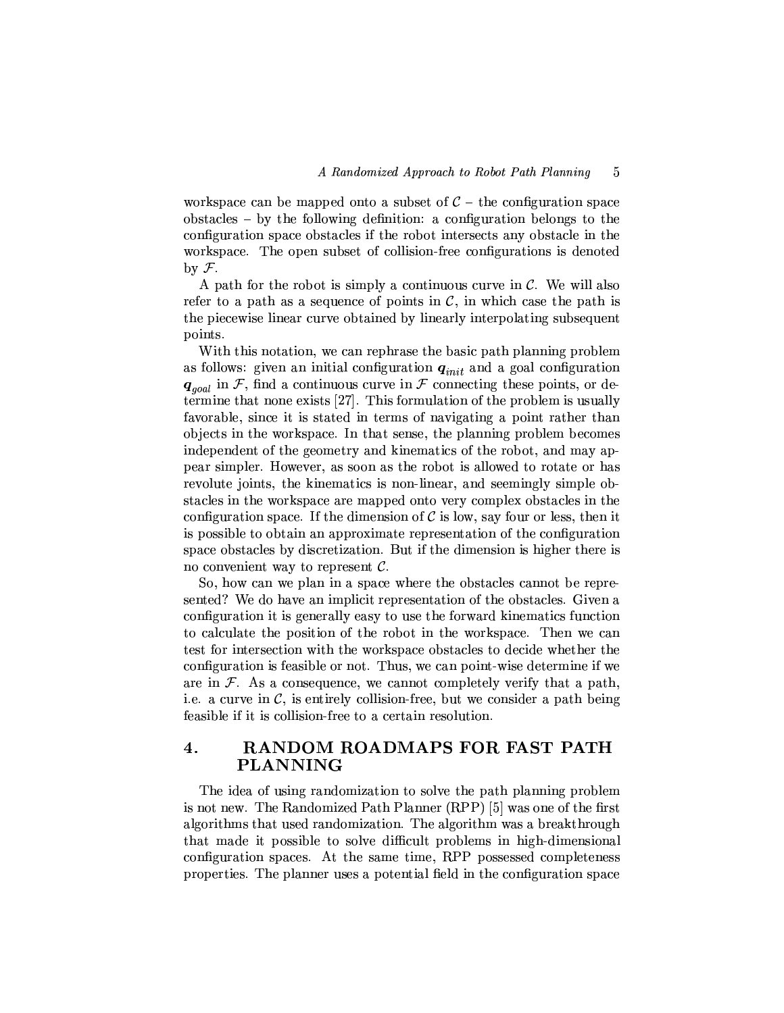workspace can be mapped onto a subset of  $C$  – the configuration space obstacles – by the following definition: a configuration belongs to the configuration space obstacles if the robot intersects any obstacle in the workspace. The open subset of collision-free configurations is denoted by  $\mathcal{F}$ .

A path for the robot is simply a continuous curve in  $\mathcal{C}$ . We will also refer to a path as a sequence of points in  $\mathcal{C}$ , in which case the path is the piecewise linear curve obtained by linearly interpolating subsequent points.

With this notation, we can rephrase the basic path planning problem as follows: given an initial configuration  $q_{init}$  and a goal configuration  $q_{goal}$  in F, find a continuous curve in F connecting these points, or determine that none exists [27]. This formulation of the problem is usually favorable, since it is stated in terms of navigating a point rather than objects in the workspace. In that sense, the planning problem becomes independent of the geometry and kinematics of the robot, and may appear simpler. However, as soon as the robot is allowed to rotate or has revolute joints, the kinematics is non-linear, and seemingly simple obstacles in the workspace are mapped onto very complex obstacles in the configuration space. If the dimension of  $\mathcal C$  is low, say four or less, then it is possible to obtain an approximate representation of the configuration space obstacles by discretization. But if the dimension is higher there is no convenient way to represent  $C$ .

So, how can we plan in a space where the obstacles cannot be represented? We do have an implicit representation of the obstacles. Given a configuration it is generally easy to use the forward kinematics function to calculate the position of the robot in the workspace. Then we can test for intersection with the workspace obstacles to decide whether the configuration is feasible or not. Thus, we can point-wise determine if we are in  $\mathcal F$ . As a consequence, we cannot completely verify that a path, i.e. a curve in  $\mathcal{C}$ , is entirely collision-free, but we consider a path being feasible if it is collision-free to a certain resolution.

### 4. RANDOM ROADMAPS FOR FAST PATH **PLANNING**

The idea of using randomization to solve the path planning problem is not new. The Randomized Path Planner (RPP) [5] was one of the first algorithms that used randomization. The algorithm was a breakthrough that made it possible to solve difficult problems in high-dimensional configuration spaces. At the same time, RPP possessed completeness properties. The planner uses a potential field in the configuration space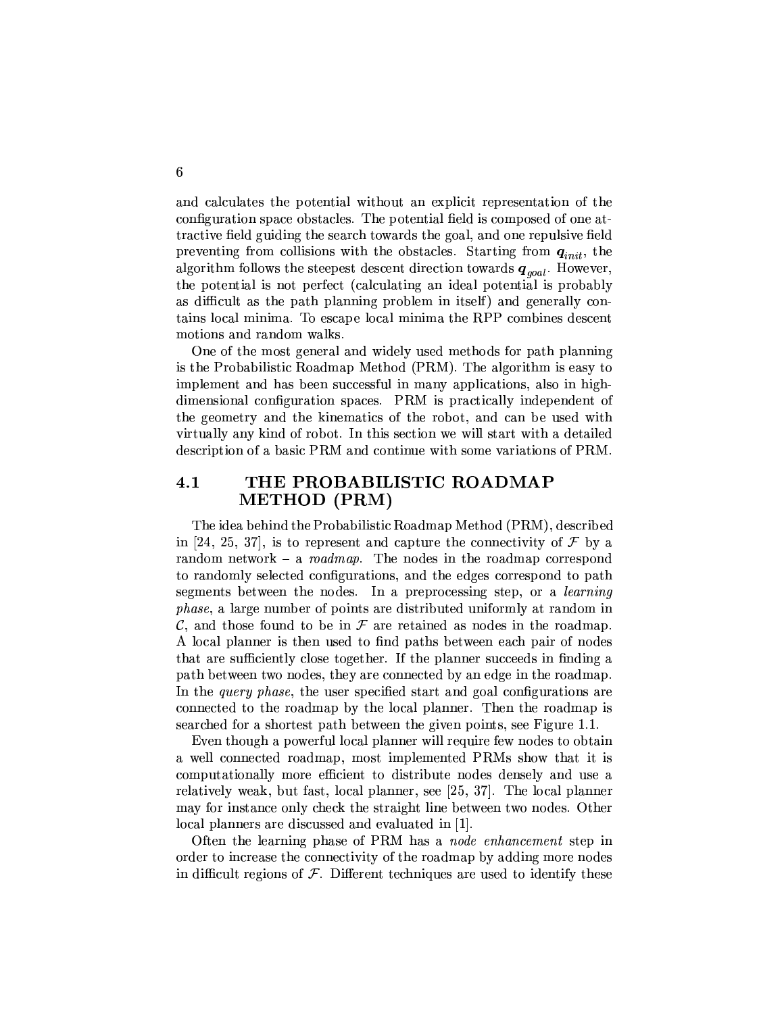and calculates the potential without an explicit representation of the configuration space obstacles. The potential field is composed of one attractive field guiding the search towards the goal, and one repulsive field preventing from collisions with the obstacles. Starting from  $q_{init}$ , the algorithm follows the steepest descent direction towards  $q_{\text{goal}}$ . However, the potential is not perfect (calculating an ideal potential is probably as difficult as the path planning problem in itself) and generally contains local minima. To escape local minima the RPP combines descent motions and random walks.

One of the most general and widely used methods for path planning is the Probabilistic Roadmap Method (PRM). The algorithm is easy to implement and has been successful in many applications, also in highdimensional configuration spaces. PRM is practically independent of the geometry and the kinematics of the robot, and can be used with virtually any kind of robot. In this section we will start with a detailed description of a basic PRM and continue with some variations of PRM.

### THE PROBABILISTIC ROADMAP  $4.1$ **METHOD** (PRM)

The idea behind the Probabilistic Roadmap Method (PRM), described in [24, 25, 37], is to represent and capture the connectivity of  $\mathcal F$  by a random network – a roadmap. The nodes in the roadmap correspond to randomly selected configurations, and the edges correspond to path segments between the nodes. In a preprocessing step, or a *learning phase*, a large number of points are distributed uniformly at random in  $\mathcal{C}$ , and those found to be in  $\mathcal F$  are retained as nodes in the roadmap. A local planner is then used to find paths between each pair of nodes that are sufficiently close together. If the planner succeeds in finding a path between two nodes, they are connected by an edge in the roadmap. In the *guery phase*, the user specified start and goal configurations are connected to the roadmap by the local planner. Then the roadmap is searched for a shortest path between the given points, see Figure 1.1.

Even though a powerful local planner will require few nodes to obtain a well connected roadmap, most implemented PRMs show that it is computationally more efficient to distribute nodes densely and use a relatively weak, but fast, local planner, see [25, 37]. The local planner may for instance only check the straight line between two nodes. Other local planners are discussed and evaluated in [1].

Often the learning phase of PRM has a node enhancement step in order to increase the connectivity of the roadmap by adding more nodes in difficult regions of  $\mathcal F$ . Different techniques are used to identify these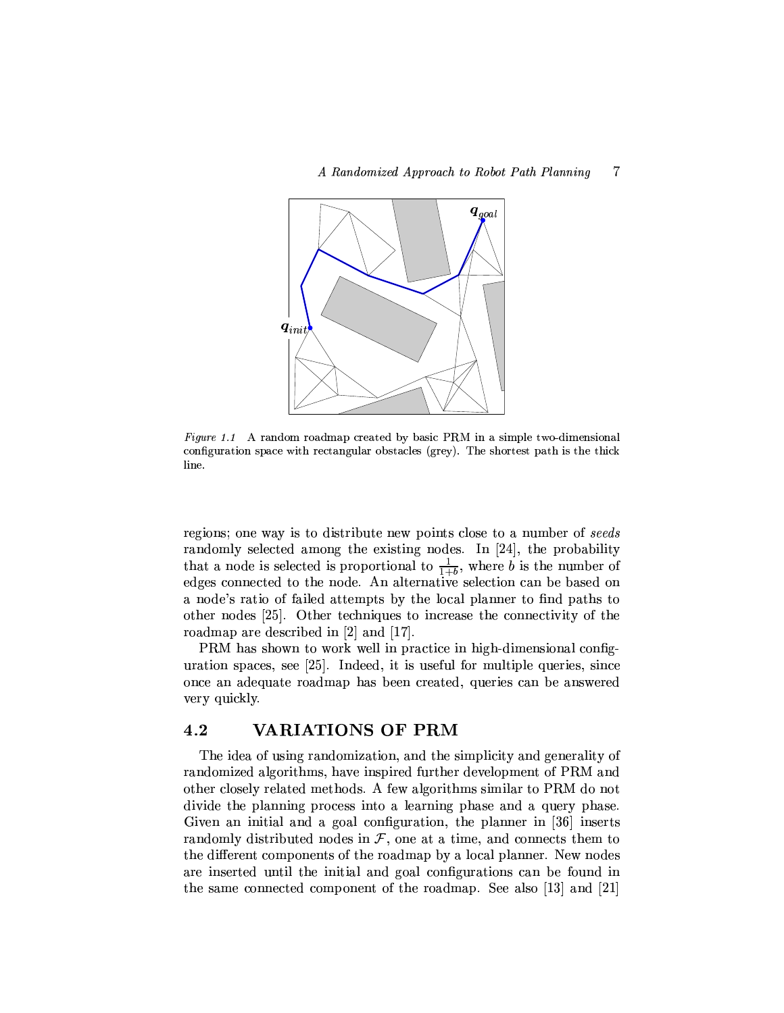

Figure 1.1 A random roadmap created by basic PRM in a simple two-dimensional configuration space with rectangular obstacles (grey). The shortest path is the thick line.

regions; one way is to distribute new points close to a number of seeds randomly selected among the existing nodes. In [24], the probability that a node is selected is proportional to  $\frac{1}{1+b}$ , where b is the number of edges connected to the node. An alternative selection can be based on a node's ratio of failed attempts by the local planner to find paths to other nodes [25]. Other techniques to increase the connectivity of the roadmap are described in  $[2]$  and  $[17]$ .

PRM has shown to work well in practice in high-dimensional configuration spaces, see [25]. Indeed, it is useful for multiple queries, since once an adequate roadmap has been created, queries can be answered very quickly.

#### 4.2 **VARIATIONS OF PRM**

The idea of using randomization, and the simplicity and generality of randomized algorithms, have inspired further development of PRM and other closely related methods. A few algorithms similar to PRM do not divide the planning process into a learning phase and a query phase. Given an initial and a goal configuration, the planner in [36] inserts randomly distributed nodes in  $F$ , one at a time, and connects them to the different components of the roadmap by a local planner. New nodes are inserted until the initial and goal configurations can be found in the same connected component of the roadmap. See also [13] and [21]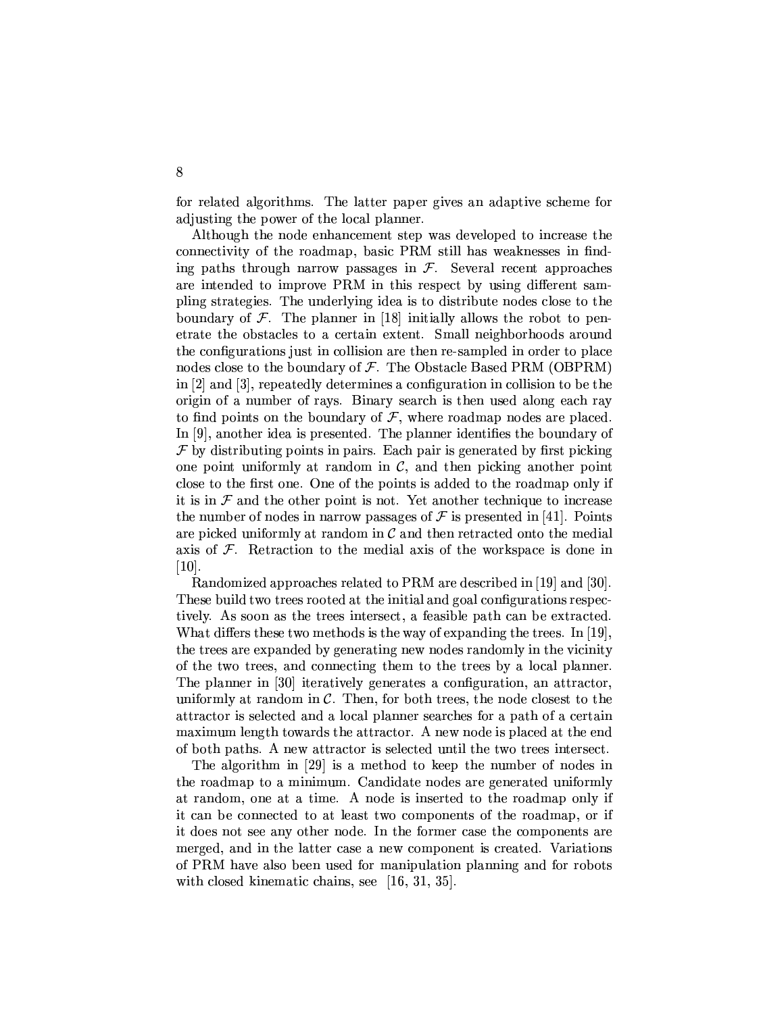for related algorithms. The latter paper gives an adaptive scheme for adjusting the power of the local planner.

Although the node enhancement step was developed to increase the connectivity of the roadmap, basic PRM still has weaknesses in finding paths through narrow passages in  $\mathcal{F}$ . Several recent approaches are intended to improve PRM in this respect by using different sampling strategies. The underlying idea is to distribute nodes close to the boundary of  $\mathcal F$ . The planner in [18] initially allows the robot to penetrate the obstacles to a certain extent. Small neighborhoods around the configurations just in collision are then re-sampled in order to place nodes close to the boundary of  $F$ . The Obstacle Based PRM (OBPRM) in [2] and [3], repeatedly determines a configuration in collision to be the origin of a number of rays. Binary search is then used along each ray to find points on the boundary of  $\mathcal F$ , where roadmap nodes are placed. In [9], another idea is presented. The planner identifies the boundary of  $\mathcal F$  by distributing points in pairs. Each pair is generated by first picking one point uniformly at random in  $\mathcal{C}$ , and then picking another point close to the first one. One of the points is added to the roadmap only if it is in  $\mathcal F$  and the other point is not. Yet another technique to increase the number of nodes in narrow passages of  $\mathcal F$  is presented in [41]. Points are picked uniformly at random in  $\mathcal C$  and then retracted onto the medial axis of  $\mathcal F$ . Retraction to the medial axis of the workspace is done in  $|10|$ .

Randomized approaches related to PRM are described in [19] and [30]. These build two trees rooted at the initial and goal configurations respectively. As soon as the trees intersect, a feasible path can be extracted. What differs these two methods is the way of expanding the trees. In [19], the trees are expanded by generating new nodes randomly in the vicinity of the two trees, and connecting them to the trees by a local planner. The planner in [30] iteratively generates a configuration, an attractor, uniformly at random in  $\mathcal{C}$ . Then, for both trees, the node closest to the attractor is selected and a local planner searches for a path of a certain maximum length towards the attractor. A new node is placed at the end of both paths. A new attractor is selected until the two trees intersect.

The algorithm in [29] is a method to keep the number of nodes in the roadmap to a minimum. Candidate nodes are generated uniformly at random, one at a time. A node is inserted to the roadmap only if it can be connected to at least two components of the roadmap, or if it does not see any other node. In the former case the components are merged, and in the latter case a new component is created. Variations of PRM have also been used for manipulation planning and for robots with closed kinematic chains, see  $[16, 31, 35]$ .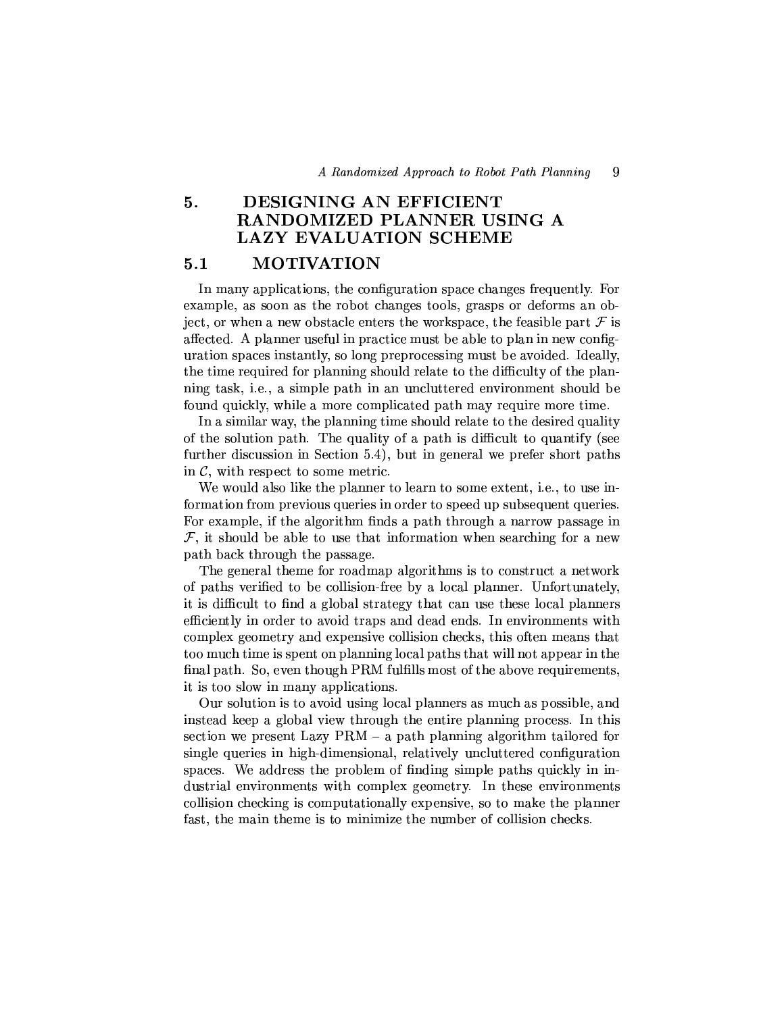### 5. DESIGNING AN EFFICIENT RANDOMIZED PLANNER USING A **LAZY EVALUATION SCHEME**

#### $5.1$ **MOTIVATION**

In many applications, the configuration space changes frequently. For example, as soon as the robot changes tools, grasps or deforms an object, or when a new obstacle enters the workspace, the feasible part  $\mathcal F$  is affected. A planner useful in practice must be able to plan in new configuration spaces instantly, so long preprocessing must be avoided. Ideally, the time required for planning should relate to the difficulty of the planning task, i.e., a simple path in an uncluttered environment should be found quickly, while a more complicated path may require more time.

In a similar way, the planning time should relate to the desired quality of the solution path. The quality of a path is difficult to quantify (see further discussion in Section 5.4), but in general we prefer short paths in  $\mathcal{C}$ , with respect to some metric.

We would also like the planner to learn to some extent, i.e., to use information from previous queries in order to speed up subsequent queries. For example, if the algorithm finds a path through a narrow passage in  $\mathcal{F}$ , it should be able to use that information when searching for a new path back through the passage.

The general theme for roadmap algorithms is to construct a network of paths verified to be collision-free by a local planner. Unfortunately, it is difficult to find a global strategy that can use these local planners efficiently in order to avoid traps and dead ends. In environments with complex geometry and expensive collision checks, this often means that too much time is spent on planning local paths that will not appear in the final path. So, even though PRM fulfills most of the above requirements, it is too slow in many applications.

Our solution is to avoid using local planners as much as possible, and instead keep a global view through the entire planning process. In this section we present Lazy  $PRM - a$  path planning algorithm tailored for single queries in high-dimensional, relatively uncluttered configuration spaces. We address the problem of finding simple paths quickly in industrial environments with complex geometry. In these environments collision checking is computationally expensive, so to make the planner fast, the main theme is to minimize the number of collision checks.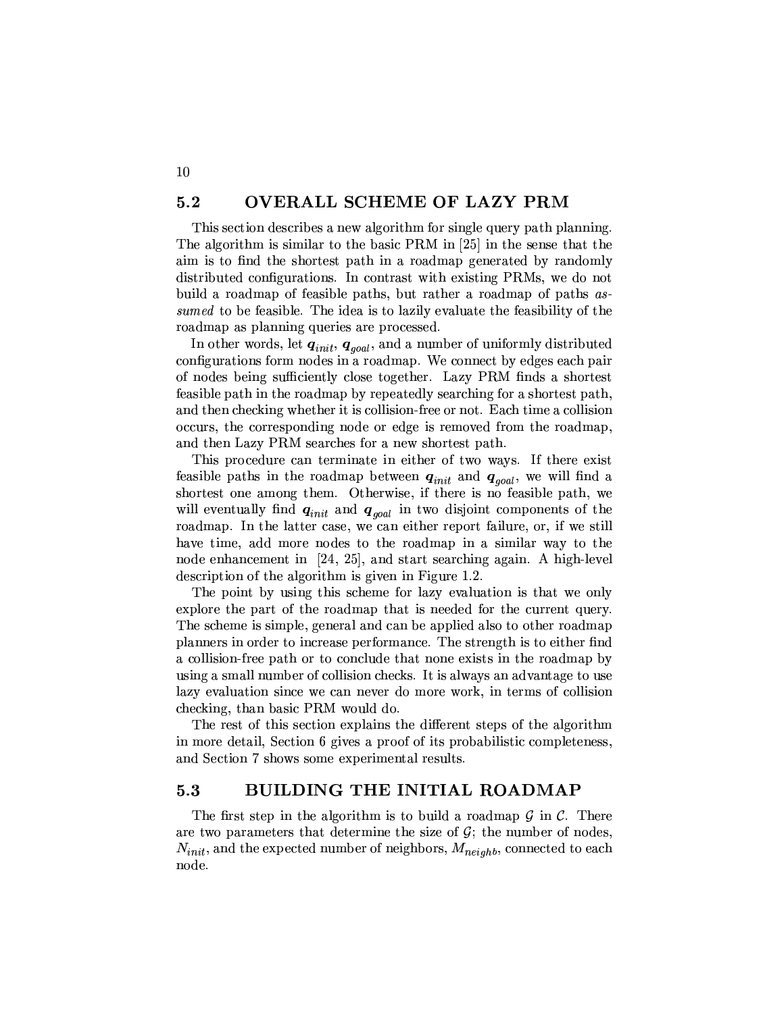#### $5.2$ OVERALL SCHEME OF LAZY PRM

10

This section describes a new algorithm for single query path planning. The algorithm is similar to the basic PRM in [25] in the sense that the aim is to find the shortest path in a roadmap generated by randomly distributed configurations. In contrast with existing PRMs, we do not build a roadmap of feasible paths, but rather a roadmap of paths assumed to be feasible. The idea is to lazily evaluate the feasibility of the roadmap as planning queries are processed.

In other words, let  $q_{init}$ ,  $q_{goal}$ , and a number of uniformly distributed configurations form nodes in a roadmap. We connect by edges each pair of nodes being sufficiently close together. Lazy PRM finds a shortest feasible path in the roadmap by repeatedly searching for a shortest path, and then checking whether it is collision-free or not. Each time a collision occurs, the corresponding node or edge is removed from the roadmap, and then Lazy PRM searches for a new shortest path.

This procedure can terminate in either of two ways. If there exist feasible paths in the roadmap between  $q_{init}$  and  $q_{goal}$ , we will find a shortest one among them. Otherwise, if there is no feasible path, we will eventually find  $q_{init}$  and  $q_{goal}$  in two disjoint components of the roadmap. In the latter case, we can either report failure, or, if we still have time, add more nodes to the roadmap in a similar way to the node enhancement in [24, 25], and start searching again. A high-level description of the algorithm is given in Figure 1.2.

The point by using this scheme for lazy evaluation is that we only explore the part of the roadmap that is needed for the current query. The scheme is simple, general and can be applied also to other roadmap planners in order to increase performance. The strength is to either find a collision-free path or to conclude that none exists in the roadmap by using a small number of collision checks. It is always an advantage to use lazy evaluation since we can never do more work, in terms of collision checking, than basic PRM would do.

The rest of this section explains the different steps of the algorithm in more detail, Section 6 gives a proof of its probabilistic completeness, and Section 7 shows some experimental results.

#### $5.3$ BUILDING THE INITIAL ROADMAP

The first step in the algorithm is to build a roadmap  $\mathcal G$  in  $\mathcal C$ . There are two parameters that determine the size of  $\mathcal{G}$ ; the number of nodes,  $N_{init}$ , and the expected number of neighbors,  $M_{neighb}$ , connected to each node.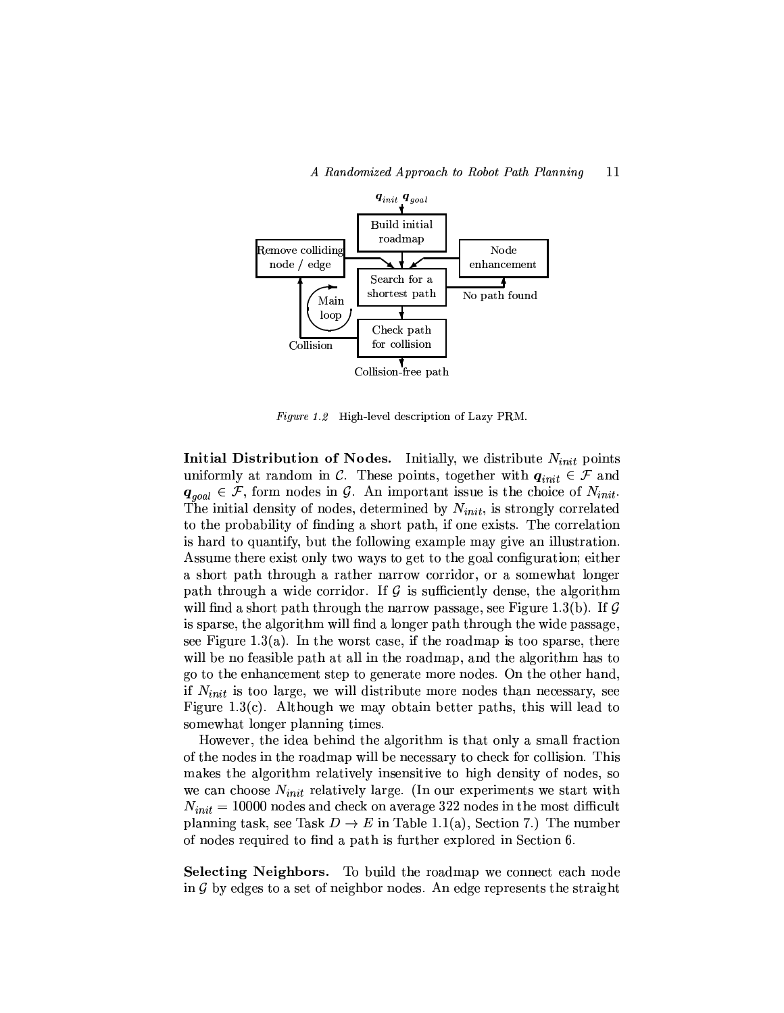

Figure 1.2 High-level description of Lazy PRM.

Initial Distribution of Nodes. Initially, we distribute  $N_{init}$  points uniformly at random in C. These points, together with  $q_{init} \in \mathcal{F}$  and  $q_{goal} \in \mathcal{F}$ , form nodes in  $\mathcal{G}$ . An important issue is the choice of  $N_{init}$ . The initial density of nodes, determined by  $N_{init}$ , is strongly correlated to the probability of finding a short path, if one exists. The correlation is hard to quantify, but the following example may give an illustration. Assume there exist only two ways to get to the goal configuration; either a short path through a rather narrow corridor, or a somewhat longer path through a wide corridor. If  $\mathcal G$  is sufficiently dense, the algorithm will find a short path through the narrow passage, see Figure 1.3(b). If  $\mathcal G$ is sparse, the algorithm will find a longer path through the wide passage, see Figure 1.3(a). In the worst case, if the roadmap is too sparse, there will be no feasible path at all in the roadmap, and the algorithm has to go to the enhancement step to generate more nodes. On the other hand, if  $N_{init}$  is too large, we will distribute more nodes than necessary, see Figure 1.3(c). Although we may obtain better paths, this will lead to somewhat longer planning times.

However, the idea behind the algorithm is that only a small fraction of the nodes in the roadmap will be necessary to check for collision. This makes the algorithm relatively insensitive to high density of nodes, so we can choose  $N_{init}$  relatively large. (In our experiments we start with  $N_{init} = 10000$  nodes and check on average 322 nodes in the most difficult planning task, see Task  $D \to E$  in Table 1.1(a), Section 7.) The number of nodes required to find a path is further explored in Section 6.

Selecting Neighbors. To build the roadmap we connect each node in  $\mathcal G$  by edges to a set of neighbor nodes. An edge represents the straight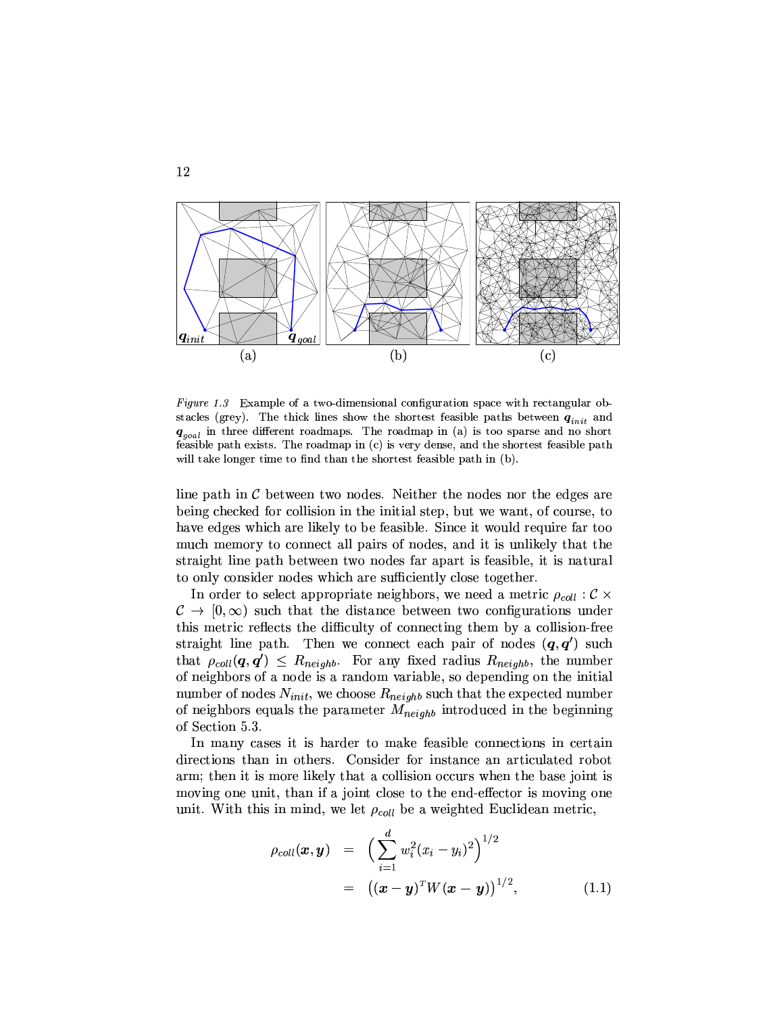

Figure 1.3 Example of a two-dimensional configuration space with rectangular obstacles (grey). The thick lines show the shortest feasible paths between  $q_{init}$  and  $q_{goal}$  in three different roadmaps. The roadmap in (a) is too sparse and no short feasible path exists. The roadmap in (c) is very dense, and the shortest feasible path will take longer time to find than the shortest feasible path in (b).

line path in  $\mathcal C$  between two nodes. Neither the nodes nor the edges are being checked for collision in the initial step, but we want, of course, to have edges which are likely to be feasible. Since it would require far too much memory to connect all pairs of nodes, and it is unlikely that the straight line path between two nodes far apart is feasible, it is natural to only consider nodes which are sufficiently close together.

In order to select appropriate neighbors, we need a metric  $\rho_{coll}$ :  $\mathcal{C} \times$  $\mathcal{C} \to [0,\infty)$  such that the distance between two configurations under this metric reflects the difficulty of connecting them by a collision-free straight line path. Then we connect each pair of nodes  $(q, q')$  such that  $\rho_{coll}(q,q') \leq R_{neighbor}$ . For any fixed radius  $R_{neighbor}$ , the number of neighbors of a node is a random variable, so depending on the initial number of nodes  $N_{init}$ , we choose  $R_{neighb}$  such that the expected number of neighbors equals the parameter  $M_{neighb}$  introduced in the beginning of Section 5.3.

In many cases it is harder to make feasible connections in certain directions than in others. Consider for instance an articulated robot arm; then it is more likely that a collision occurs when the base joint is moving one unit, than if a joint close to the end-effector is moving one unit. With this in mind, we let  $\rho_{coll}$  be a weighted Euclidean metric,

$$
\rho_{coll}(\boldsymbol{x}, \boldsymbol{y}) = \left( \sum_{i=1}^{d} w_i^2 (x_i - y_i)^2 \right)^{1/2}
$$
  
= 
$$
\left( (\boldsymbol{x} - \boldsymbol{y})^T W (\boldsymbol{x} - \boldsymbol{y}) \right)^{1/2},
$$
 (1.1)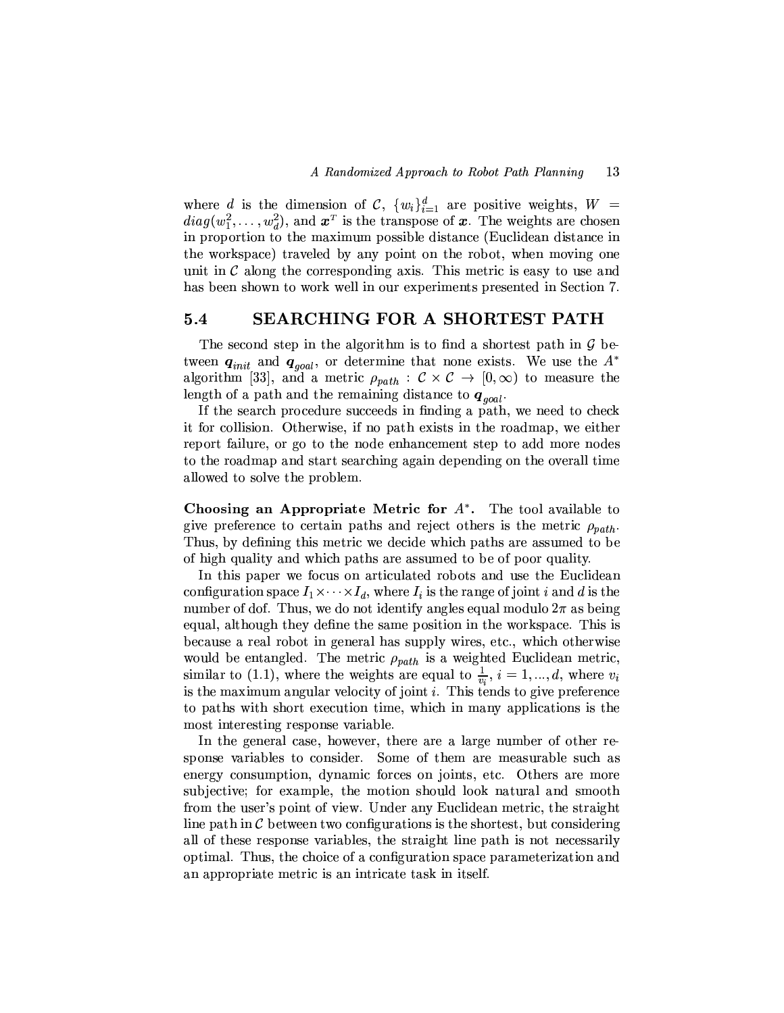where d is the dimension of C,  $\{w_i\}_{i=1}^d$  are positive weights,  $W =$  $diag(w_1^2, \ldots, w_d^2)$ , and  $\boldsymbol{x}^T$  is the transpose of  $\boldsymbol{x}$ . The weights are chosen in proportion to the maximum possible distance (Euclidean distance in the workspace) traveled by any point on the robot, when moving one unit in  $\mathcal C$  along the corresponding axis. This metric is easy to use and has been shown to work well in our experiments presented in Section 7.

#### SEARCHING FOR A SHORTEST PATH  $5.4$

The second step in the algorithm is to find a shortest path in  $\mathcal G$  between  $q_{init}$  and  $q_{goal}$ , or determine that none exists. We use the  $A^*$ algorithm [33], and a metric  $\rho_{path} : C \times C \rightarrow [0, \infty)$  to measure the length of a path and the remaining distance to  $q_{goal}$ .

If the search procedure succeeds in finding a path, we need to check it for collision. Otherwise, if no path exists in the roadmap, we either report failure, or go to the node enhancement step to add more nodes to the roadmap and start searching again depending on the overall time allowed to solve the problem.

**Choosing an Appropriate Metric for**  $A^*$ **.** The tool available to give preference to certain paths and reject others is the metric  $\rho_{path}$ . Thus, by defining this metric we decide which paths are assumed to be of high quality and which paths are assumed to be of poor quality.

In this paper we focus on articulated robots and use the Euclidean configuration space  $I_1 \times \cdots \times I_d$ , where  $I_i$  is the range of joint i and d is the number of dof. Thus, we do not identify angles equal modulo  $2\pi$  as being equal, although they define the same position in the workspace. This is because a real robot in general has supply wires, etc., which otherwise would be entangled. The metric  $\rho_{path}$  is a weighted Euclidean metric, similar to (1.1), where the weights are equal to  $\frac{1}{v_i}$ ,  $i = 1, ..., d$ , where  $v_i$ is the maximum angular velocity of joint  $i$ . This tends to give preference to paths with short execution time, which in many applications is the most interesting response variable.

In the general case, however, there are a large number of other response variables to consider. Some of them are measurable such as energy consumption, dynamic forces on joints, etc. Others are more subjective; for example, the motion should look natural and smooth from the user's point of view. Under any Euclidean metric, the straight line path in  $\mathcal C$  between two configurations is the shortest, but considering all of these response variables, the straight line path is not necessarily optimal. Thus, the choice of a configuration space parameterization and an appropriate metric is an intricate task in itself.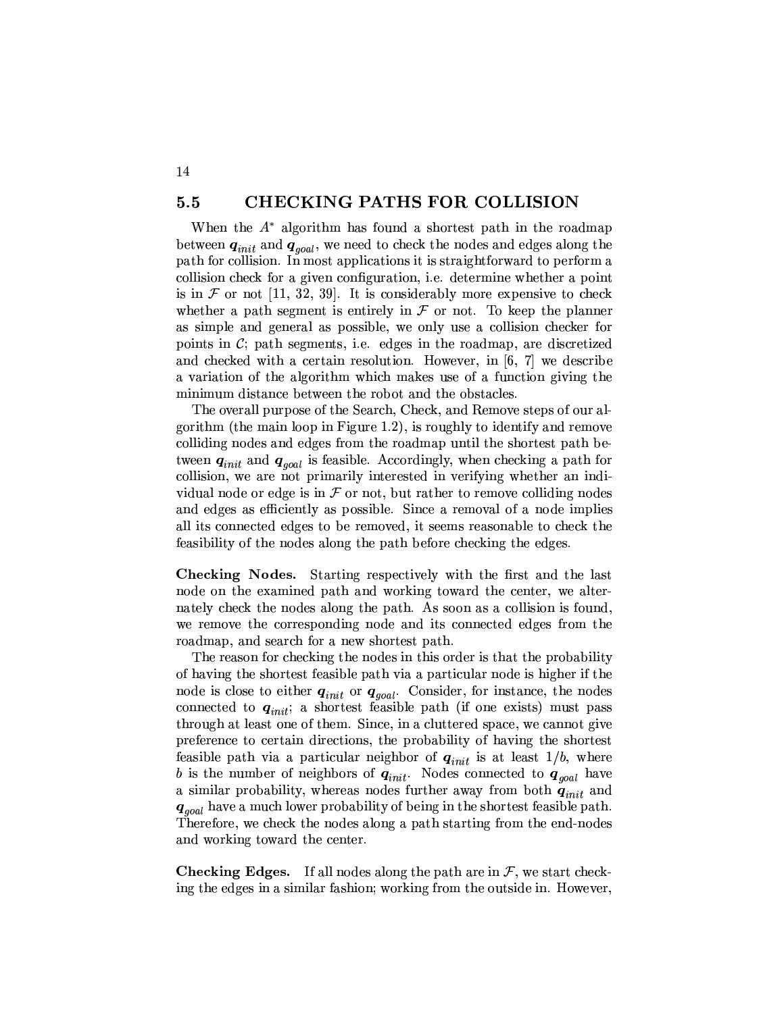#### **CHECKING PATHS FOR COLLISION**  $5.5$

14

When the  $A^*$  algorithm has found a shortest path in the roadmap between  $q_{init}$  and  $q_{goal}$ , we need to check the nodes and edges along the path for collision. In most applications it is straightforward to perform a collision check for a given configuration, i.e. determine whether a point is in  $\mathcal F$  or not [11, 32, 39]. It is considerably more expensive to check whether a path segment is entirely in  $\mathcal F$  or not. To keep the planner as simple and general as possible, we only use a collision checker for points in  $\mathcal{C}$ ; path segments, i.e. edges in the roadmap, are discretized and checked with a certain resolution. However, in [6, 7] we describe a variation of the algorithm which makes use of a function giving the minimum distance between the robot and the obstacles.

The overall purpose of the Search, Check, and Remove steps of our algorithm (the main loop in Figure 1.2), is roughly to identify and remove colliding nodes and edges from the roadmap until the shortest path between  $q_{init}$  and  $q_{goal}$  is feasible. Accordingly, when checking a path for collision, we are not primarily interested in verifying whether an individual node or edge is in  $\mathcal F$  or not, but rather to remove colliding nodes and edges as efficiently as possible. Since a removal of a node implies all its connected edges to be removed, it seems reasonable to check the feasibility of the nodes along the path before checking the edges.

Checking Nodes. Starting respectively with the first and the last node on the examined path and working toward the center, we alternately check the nodes along the path. As soon as a collision is found, we remove the corresponding node and its connected edges from the roadmap, and search for a new shortest path.

The reason for checking the nodes in this order is that the probability of having the shortest feasible path via a particular node is higher if the node is close to either  $q_{init}$  or  $q_{goal}$ . Consider, for instance, the nodes connected to  $q_{init}$ ; a shortest feasible path (if one exists) must pass through at least one of them. Since, in a cluttered space, we cannot give preference to certain directions, the probability of having the shortest feasible path via a particular neighbor of  $q_{init}$  is at least  $1/b$ , where b is the number of neighbors of  $q_{init}$ . Nodes connected to  $q_{goal}$  have a similar probability, whereas nodes further away from both  $q_{init}$  and  $q_{\text{goal}}$  have a much lower probability of being in the shortest feasible path. Therefore, we check the nodes along a path starting from the end-nodes and working toward the center.

**Checking Edges.** If all nodes along the path are in  $\mathcal{F}$ , we start checking the edges in a similar fashion; working from the outside in. However,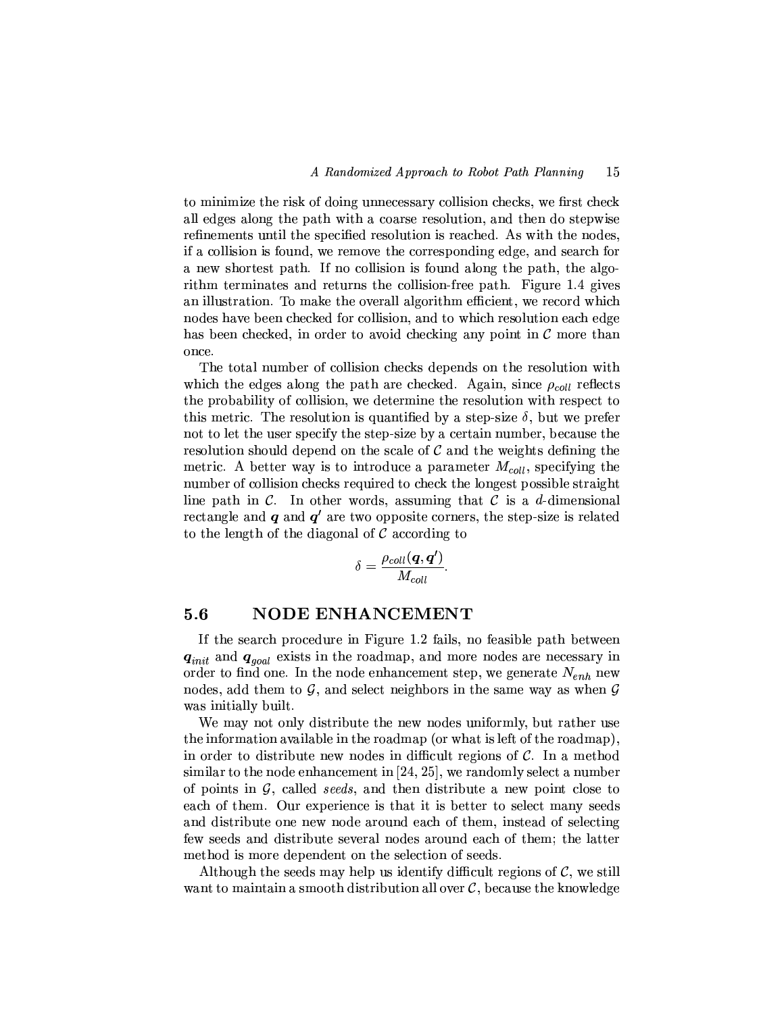to minimize the risk of doing unnecessary collision checks, we first check all edges along the path with a coarse resolution, and then do stepwise refinements until the specified resolution is reached. As with the nodes, if a collision is found, we remove the corresponding edge, and search for a new shortest path. If no collision is found along the path, the algorithm terminates and returns the collision-free path. Figure 1.4 gives an illustration. To make the overall algorithm efficient, we record which nodes have been checked for collision, and to which resolution each edge has been checked, in order to avoid checking any point in  $\mathcal C$  more than once.

The total number of collision checks depends on the resolution with which the edges along the path are checked. Again, since  $\rho_{coll}$  reflects the probability of collision, we determine the resolution with respect to this metric. The resolution is quantified by a step-size  $\delta$ , but we prefer not to let the user specify the step-size by a certain number, because the resolution should depend on the scale of  $\mathcal C$  and the weights defining the metric. A better way is to introduce a parameter  $M_{coll}$ , specifying the number of collision checks required to check the longest possible straight line path in  $\mathcal{C}$ . In other words, assuming that  $\mathcal{C}$  is a d-dimensional rectangle and  $q$  and  $q'$  are two opposite corners, the step-size is related to the length of the diagonal of  $\mathcal C$  according to

$$
\delta = \frac{\rho_{coll}(\bm{q},\bm{q'})}{M_{coll}}.
$$

#### **NODE ENHANCEMENT**  $5.6$

If the search procedure in Figure 1.2 fails, no feasible path between  $q_{init}$  and  $q_{goal}$  exists in the roadmap, and more nodes are necessary in order to find one. In the node enhancement step, we generate  $N_{enh}$  new nodes, add them to  $G$ , and select neighbors in the same way as when  $G$ was initially built.

We may not only distribute the new nodes uniformly, but rather use the information available in the roadmap (or what is left of the roadmap), in order to distribute new nodes in difficult regions of  $\mathcal{C}$ . In a method similar to the node enhancement in  $[24, 25]$ , we randomly select a number of points in  $G$ , called *seeds*, and then distribute a new point close to each of them. Our experience is that it is better to select many seeds and distribute one new node around each of them, instead of selecting few seeds and distribute several nodes around each of them; the latter method is more dependent on the selection of seeds.

Although the seeds may help us identify difficult regions of  $\mathcal{C}$ , we still want to maintain a smooth distribution all over  $\mathcal{C}$ , because the knowledge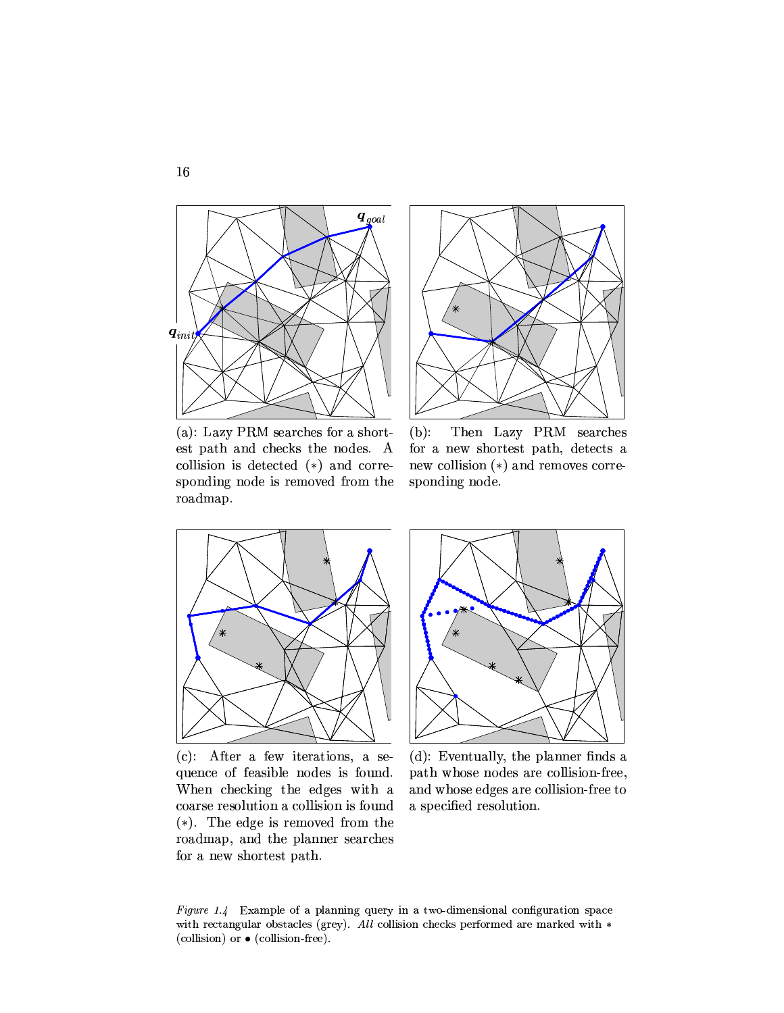

(a): Lazy PRM searches for a shortest path and checks the nodes. A collision is detected  $(*)$  and corresponding node is removed from the roadmap.



 $(b)$ : Then Lazy PRM searches for a new shortest path, detects a new collision  $(*)$  and removes corresponding node.



 $(c)$ : After a few iterations, a sequence of feasible nodes is found. When checking the edges with a coarse resolution a collision is found  $(*)$ . The edge is removed from the roadmap, and the planner searches for a new shortest path.



(d): Eventually, the planner finds a path whose nodes are collision-free. and whose edges are collision-free to a specified resolution.

Figure 1.4 Example of a planning query in a two-dimensional configuration space with rectangular obstacles (grey). All collision checks performed are marked with  $*$ (collision) or  $\bullet$  (collision-free).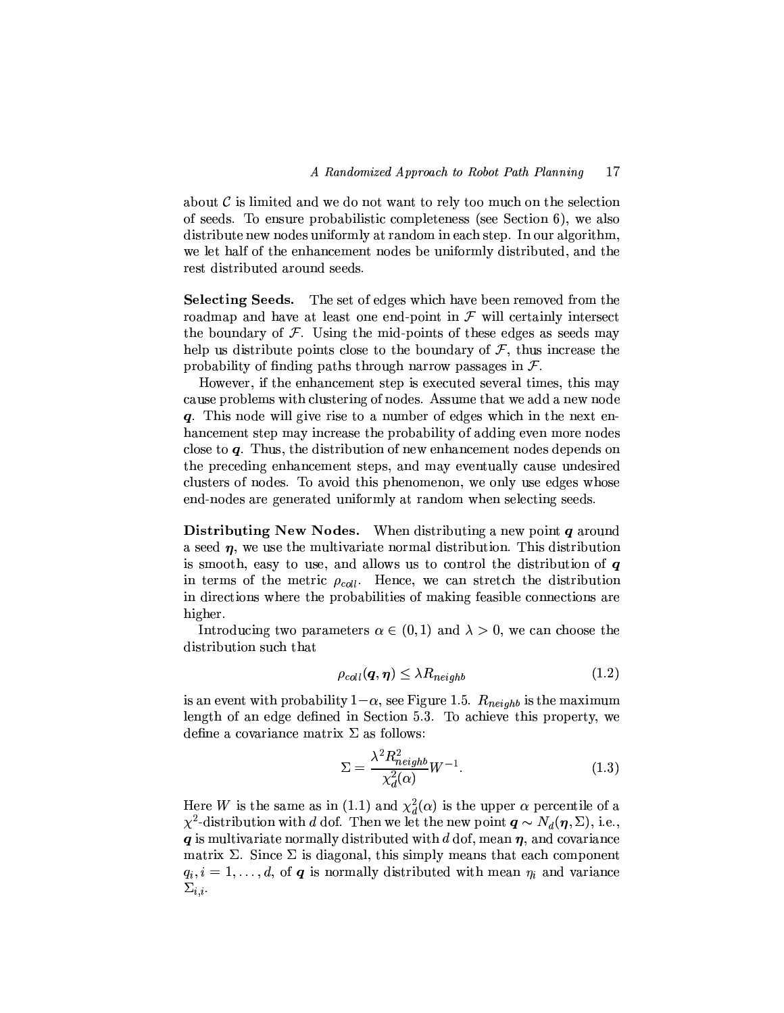about  $\mathcal C$  is limited and we do not want to rely too much on the selection of seeds. To ensure probabilistic completeness (see Section 6), we also distribute new nodes uniformly at random in each step. In our algorithm, we let half of the enhancement nodes be uniformly distributed, and the rest distributed around seeds.

Selecting Seeds. The set of edges which have been removed from the roadmap and have at least one end-point in  $\mathcal F$  will certainly intersect the boundary of  $\mathcal F$ . Using the mid-points of these edges as seeds may help us distribute points close to the boundary of  $\mathcal F$ , thus increase the probability of finding paths through narrow passages in  $\mathcal{F}$ .

However, if the enhancement step is executed several times, this may cause problems with clustering of nodes. Assume that we add a new node q. This node will give rise to a number of edges which in the next enhancement step may increase the probability of adding even more nodes close to  $q$ . Thus, the distribution of new enhancement nodes depends on the preceding enhancement steps, and may eventually cause undesired clusters of nodes. To avoid this phenomenon, we only use edges whose end-nodes are generated uniformly at random when selecting seeds.

Distributing New Nodes. When distributing a new point  $q$  around a seed  $\eta$ , we use the multivariate normal distribution. This distribution is smooth, easy to use, and allows us to control the distribution of  $q$ in terms of the metric  $\rho_{coll}$ . Hence, we can stretch the distribution in directions where the probabilities of making feasible connections are higher.

Introducing two parameters  $\alpha \in (0,1)$  and  $\lambda > 0$ , we can choose the distribution such that

$$
\rho_{coll}(\boldsymbol{q},\boldsymbol{\eta}) \leq \lambda R_{neighb} \tag{1.2}
$$

is an event with probability  $1-\alpha$ , see Figure 1.5.  $R_{neighb}$  is the maximum length of an edge defined in Section 5.3. To achieve this property, we define a covariance matrix  $\Sigma$  as follows:

$$
\Sigma = \frac{\lambda^2 R_{neighbor}^2}{\chi_d^2(\alpha)} W^{-1}.
$$
\n(1.3)

Here W is the same as in (1.1) and  $\chi_d^2(\alpha)$  is the upper  $\alpha$  percentile of a  $\chi^2$ -distribution with d dof. Then we let the new point  $q \sim N_d(\eta, \Sigma)$ , i.e.,  $q$  is multivariate normally distributed with d dof, mean  $\eta$ , and covariance matrix  $\Sigma$ . Since  $\Sigma$  is diagonal, this simply means that each component  $q_i, i = 1, \ldots, d$ , of q is normally distributed with mean  $\eta_i$  and variance  $\Sigma_{i,i}.$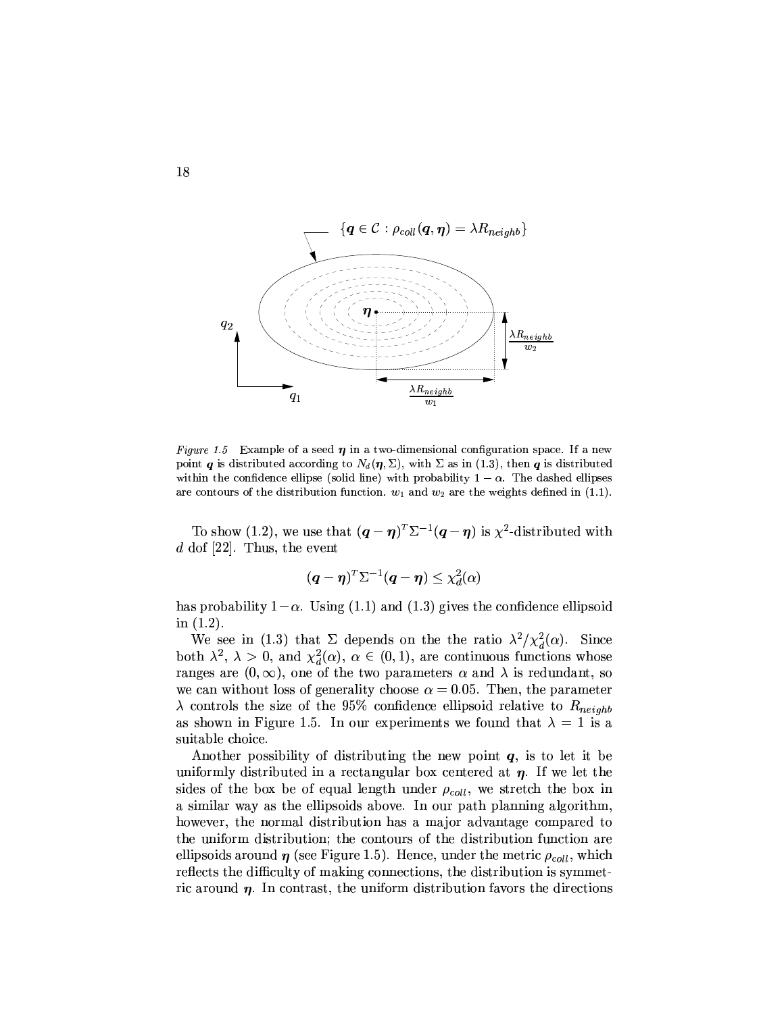

Figure 1.5 Example of a seed  $\eta$  in a two-dimensional configuration space. If a new point *q* is distributed according to  $N_d(\eta, \Sigma)$ , with  $\Sigma$  as in (1.3), then *q* is distributed within the confidence ellipse (solid line) with probability  $1 - \alpha$ . The dashed ellipses are contours of the distribution function.  $w_1$  and  $w_2$  are the weights defined in (1.1).

To show (1.2), we use that  $(q - \eta)^T \Sigma^{-1} (q - \eta)$  is  $\chi^2$ -distributed with  $d$  dof [22]. Thus, the event

$$
(\boldsymbol{q} - \boldsymbol{\eta})^T \Sigma^{-1} (\boldsymbol{q} - \boldsymbol{\eta}) \leq \chi_d^2(\alpha)
$$

has probability  $1-\alpha$ . Using (1.1) and (1.3) gives the confidence ellipsoid in  $(1.2)$ .

We see in (1.3) that  $\Sigma$  depends on the the ratio  $\lambda^2/\chi_d^2(\alpha)$ . Since both  $\lambda^2$ ,  $\lambda > 0$ , and  $\chi_d^2(\alpha)$ ,  $\alpha \in (0,1)$ , are continuous functions whose ranges are  $(0, \infty)$ , one of the two parameters  $\alpha$  and  $\lambda$  is redundant, so we can without loss of generality choose  $\alpha = 0.05$ . Then, the parameter  $\lambda$  controls the size of the 95% confidence ellipsoid relative to  $R_{neighb}$ as shown in Figure 1.5. In our experiments we found that  $\lambda = 1$  is a suitable choice.

Another possibility of distributing the new point  $q$ , is to let it be uniformly distributed in a rectangular box centered at  $\eta$ . If we let the sides of the box be of equal length under  $\rho_{coll}$ , we stretch the box in a similar way as the ellipsoids above. In our path planning algorithm, however, the normal distribution has a major advantage compared to the uniform distribution; the contours of the distribution function are ellipsoids around  $\eta$  (see Figure 1.5). Hence, under the metric  $\rho_{coll}$ , which reflects the difficulty of making connections, the distribution is symmetric around  $\eta$ . In contrast, the uniform distribution favors the directions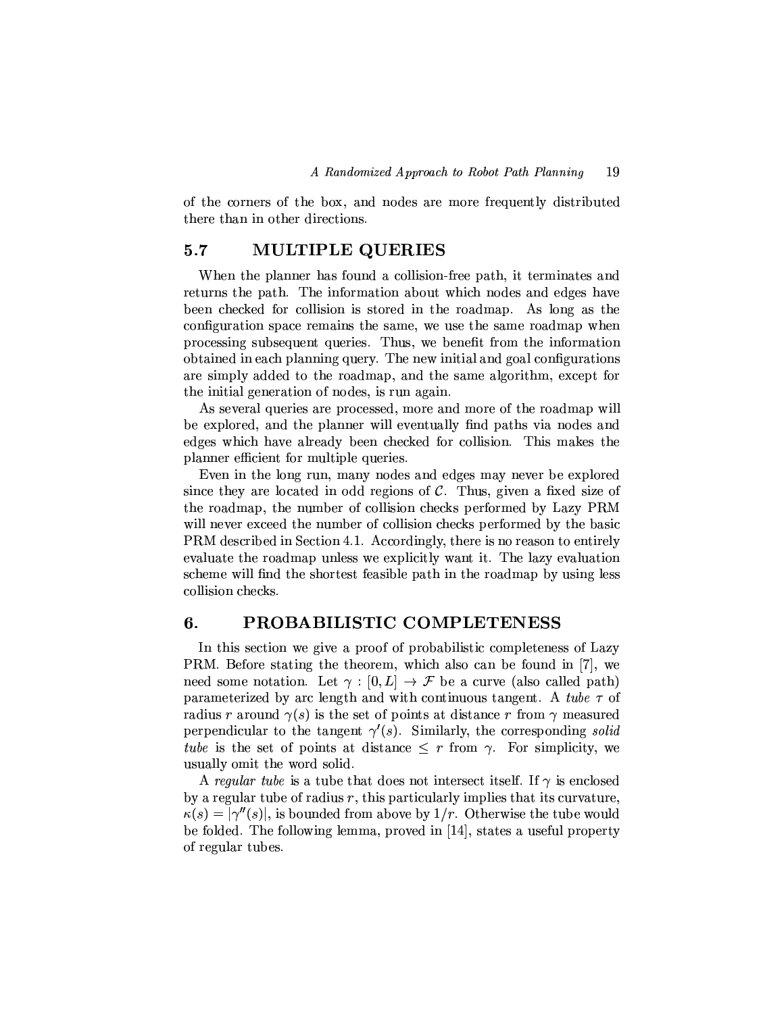of the corners of the box, and nodes are more frequently distributed there than in other directions.

#### $5.7$ **MULTIPLE QUERIES**

When the planner has found a collision-free path, it terminates and returns the path. The information about which nodes and edges have been checked for collision is stored in the roadmap. As long as the configuration space remains the same, we use the same roadmap when processing subsequent queries. Thus, we benefit from the information obtained in each planning query. The new initial and goal configurations are simply added to the roadmap, and the same algorithm, except for the initial generation of nodes, is run again.

As several queries are processed, more and more of the roadmap will be explored, and the planner will eventually find paths via nodes and edges which have already been checked for collision. This makes the planner efficient for multiple queries.

Even in the long run, many nodes and edges may never be explored since they are located in odd regions of  $C$ . Thus, given a fixed size of the roadmap, the number of collision checks performed by Lazy PRM will never exceed the number of collision checks performed by the basic PRM described in Section 4.1. Accordingly, there is no reason to entirely evaluate the roadmap unless we explicitly want it. The lazy evaluation scheme will find the shortest feasible path in the roadmap by using less collision checks.

#### 6. PROBABILISTIC COMPLETENESS

In this section we give a proof of probabilistic completeness of Lazy PRM. Before stating the theorem, which also can be found in [7], we need some notation. Let  $\gamma : [0, L] \to \mathcal{F}$  be a curve (also called path) parameterized by arc length and with continuous tangent. A tube  $\tau$  of radius r around  $\gamma(s)$  is the set of points at distance r from  $\gamma$  measured perpendicular to the tangent  $\gamma'(s)$ . Similarly, the corresponding solid tube is the set of points at distance  $\leq r$  from  $\gamma$ . For simplicity, we usually omit the word solid.

A regular tube is a tube that does not intersect itself. If  $\gamma$  is enclosed by a regular tube of radius  $r$ , this particularly implies that its curvature.  $\kappa(s) = |\gamma''(s)|$ , is bounded from above by  $1/r$ . Otherwise the tube would be folded. The following lemma, proved in [14], states a useful property of regular tubes.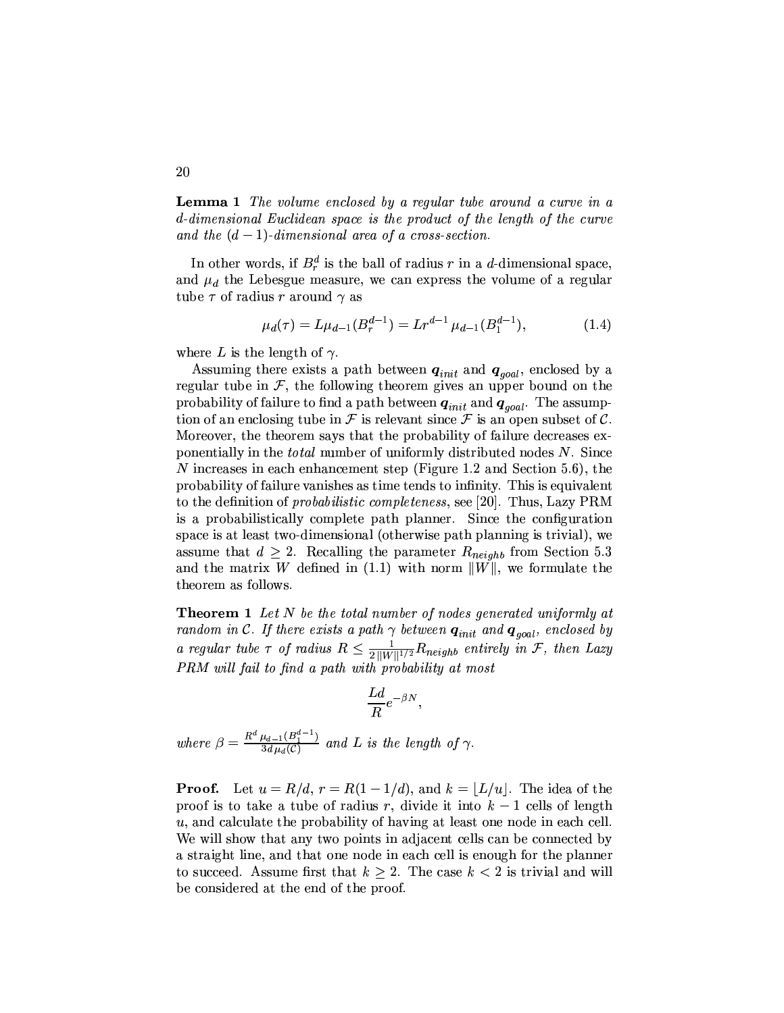**Lemma 1** The volume enclosed by a regular tube around a curve in a d-dimensional Euclidean space is the product of the length of the curve and the  $(d-1)$ -dimensional area of a cross-section.

In other words, if  $B_r^d$  is the ball of radius r in a d-dimensional space, and  $\mu_d$  the Lebesgue measure, we can express the volume of a regular tube  $\tau$  of radius r around  $\gamma$  as

$$
\mu_d(\tau) = L\mu_{d-1}(B_r^{d-1}) = Lr^{d-1}\mu_{d-1}(B_1^{d-1}),\tag{1.4}
$$

where L is the length of  $\gamma$ .

Assuming there exists a path between  $q_{init}$  and  $q_{goal}$ , enclosed by a regular tube in  $\mathcal{F}$ , the following theorem gives an upper bound on the probability of failure to find a path between  $q_{init}$  and  $q_{goal}$ . The assumption of an enclosing tube in F is relevant since F is an open subset of C. Moreover, the theorem says that the probability of failure decreases exponentially in the *total* number of uniformly distributed nodes N. Since N increases in each enhancement step (Figure 1.2 and Section 5.6), the probability of failure vanishes as time tends to infinity. This is equivalent to the definition of *probabilistic completeness*, see [20]. Thus, Lazy PRM is a probabilistically complete path planner. Since the configuration space is at least two-dimensional (otherwise path planning is trivial), we assume that  $d \geq 2$ . Recalling the parameter  $R_{neighbor}$  from Section 5.3 and the matrix W defined in (1.1) with norm  $||W||$ , we formulate the theorem as follows.

**Theorem 1** Let N be the total number of nodes generated uniformly at random in C. If there exists a path  $\gamma$  between  $q_{init}$  and  $q_{goal}$ , enclosed by a regular tube  $\tau$  of radius  $R \leq \frac{1}{2||W||^{1/2}} R_{neighbour}$  entirely in  $\mathcal{F}$ , then Lazy PRM will fail to find a path with probability at most

$$
\frac{Ld}{R}e^{-\beta N},
$$

where  $\beta = \frac{R^d \mu_{d-1}(B_1^{d-1})}{3d \mu_d(\mathcal{C})}$  and L is the length of  $\gamma$ .

**Proof.** Let  $u = R/d$ ,  $r = R(1 - 1/d)$ , and  $k = |L/u|$ . The idea of the proof is to take a tube of radius r, divide it into  $k-1$  cells of length  $u$ , and calculate the probability of having at least one node in each cell. We will show that any two points in adjacent cells can be connected by a straight line, and that one node in each cell is enough for the planner to succeed. Assume first that  $k \geq 2$ . The case  $k < 2$  is trivial and will be considered at the end of the proof.

20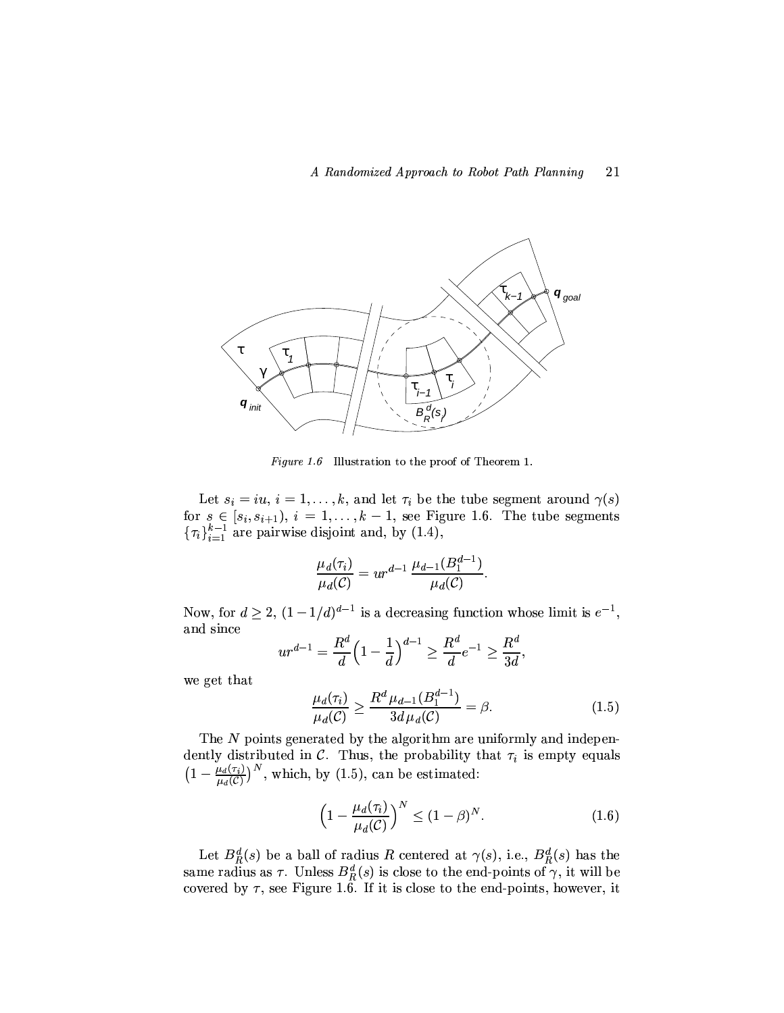

Figure 1.6 Illustration to the proof of Theorem 1.

Let  $s_i = iu, i = 1, ..., k$ , and let  $\tau_i$  be the tube segment around  $\gamma(s)$ for  $s \in [s_i, s_{i+1}), i = 1, ..., k-1$ , see Figure 1.6. The tube segments  $\{\tau_i\}_{i=1}^{k-1}$  are pairwise disjoint and, by (1.4),

$$
\frac{\mu_d(\tau_i)}{\mu_d(C)} = ur^{d-1} \, \frac{\mu_{d-1}(B_1^{d-1})}{\mu_d(C)}
$$

Now, for  $d \ge 2$ ,  $(1 - 1/d)^{d-1}$  is a decreasing function whose limit is  $e^{-1}$ , and since

$$
ur^{d-1} = \frac{R^d}{d} \left( 1 - \frac{1}{d} \right)^{d-1} \ge \frac{R^d}{d} e^{-1} \ge \frac{R^d}{3d}
$$

we get that

$$
\frac{\mu_d(\tau_i)}{\mu_d(\mathcal{C})} \ge \frac{R^d \mu_{d-1}(B_1^{d-1})}{3d \mu_d(\mathcal{C})} = \beta.
$$
\n(1.5)

The N points generated by the algorithm are uniformly and independently distributed in  $C$ . Thus, the probability that  $\tau_i$  is empty equals  $\left(1-\frac{\mu_d(\tau_i)}{\mu_d(\mathcal{C})}\right)^N$ , which, by (1.5), can be estimated:

$$
\left(1 - \frac{\mu_d(\tau_i)}{\mu_d(C)}\right)^N \le (1 - \beta)^N. \tag{1.6}
$$

Let  $B_R^d(s)$  be a ball of radius R centered at  $\gamma(s)$ , i.e.,  $B_R^d(s)$  has the same radius as  $\tau$ . Unless  $B_R^d(s)$  is close to the end-points of  $\gamma$ , it will be covered by  $\tau$ , see Figure 1.6. If it is close to the end-points, however, it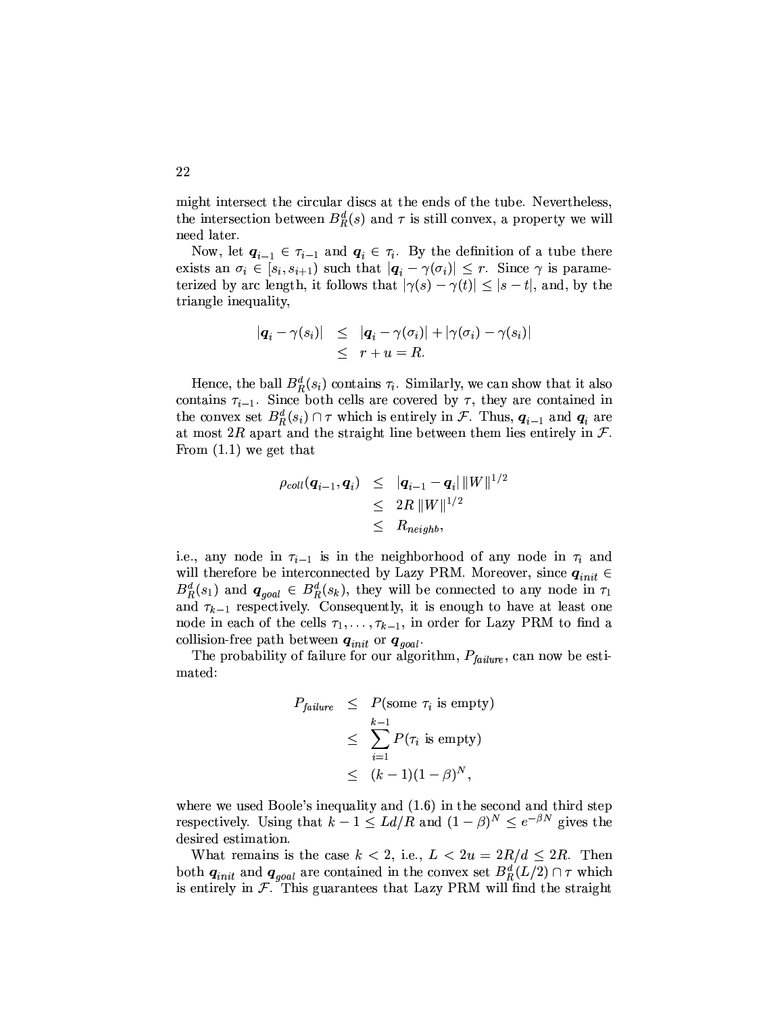might intersect the circular discs at the ends of the tube. Nevertheless, the intersection between  $B_R^d(s)$  and  $\tau$  is still convex, a property we will need later.

Now, let  $q_{i-1} \in \tau_{i-1}$  and  $q_i \in \tau_i$ . By the definition of a tube there exists an  $\sigma_i \in [s_i, s_{i+1})$  such that  $|\boldsymbol{q}_i - \gamma(\sigma_i)| \leq r$ . Since  $\gamma$  is parameterized by arc length, it follows that  $|\gamma(s) - \gamma(t)| \leq |s - t|$ , and, by the triangle inequality,

$$
\begin{array}{rcl} |\boldsymbol{q}_i - \gamma(s_i)| & \leq & |\boldsymbol{q}_i - \gamma(\sigma_i)| + |\gamma(\sigma_i) - \gamma(s_i)| \\ & < & r + u = R. \end{array}
$$

Hence, the ball  $B_R^d(s_i)$  contains  $\tau_i$ . Similarly, we can show that it also contains  $\tau_{i-1}$ . Since both cells are covered by  $\tau$ , they are contained in the convex set  $B_R^d(s_i) \cap \tau$  which is entirely in F. Thus,  $q_{i-1}$  and  $q_i$  are at most 2R apart and the straight line between them lies entirely in  $\mathcal{F}$ . From  $(1.1)$  we get that

$$
\begin{array}{lcl} \rho_{coll}(\bm{q}_{i-1},\bm{q}_{i}) & \leq & |\bm{q}_{i-1}-\bm{q}_{i}|\,\|W\|^{1/2} \\ & \leq & 2R\,\|W\|^{1/2} \\ & \leq & R_{neighb}, \end{array}
$$

i.e., any node in  $\tau_{i-1}$  is in the neighborhood of any node in  $\tau_i$  and will therefore be interconnected by Lazy PRM. Moreover, since  $\boldsymbol{q}_{init}$   $\in$  $B_R^d(s_1)$  and  $q_{goal} \in B_R^d(s_k)$ , they will be connected to any node in  $\tau_1$ and  $\tau_{k-1}$  respectively. Consequently, it is enough to have at least one node in each of the cells  $\tau_1, \ldots, \tau_{k-1}$ , in order for Lazy PRM to find a collision-free path between  $\boldsymbol{q}_{init}$  or  $\boldsymbol{q}_{goal}.$ 

The probability of failure for our algorithm,  $P_{failure}$ , can now be estimated:

$$
P_{failure} \leq P(\text{some } \tau_i \text{ is empty})
$$
  
\n
$$
\leq \sum_{i=1}^{k-1} P(\tau_i \text{ is empty})
$$
  
\n
$$
\leq (k-1)(1-\beta)^N,
$$

where we used Boole's inequality and  $(1.6)$  in the second and third step respectively. Using that  $k-1 \le L d/R$  and  $(1-\beta)^N \le e^{-\beta N}$  gives the desired estimation.

What remains is the case  $k < 2$ , i.e.,  $L < 2u = 2R/d \leq 2R$ . Then both  $q_{init}$  and  $q_{goal}$  are contained in the convex set  $B_R^d(L/2) \cap \tau$  which is entirely in  $F$ . This guarantees that Lazy PRM will find the straight

22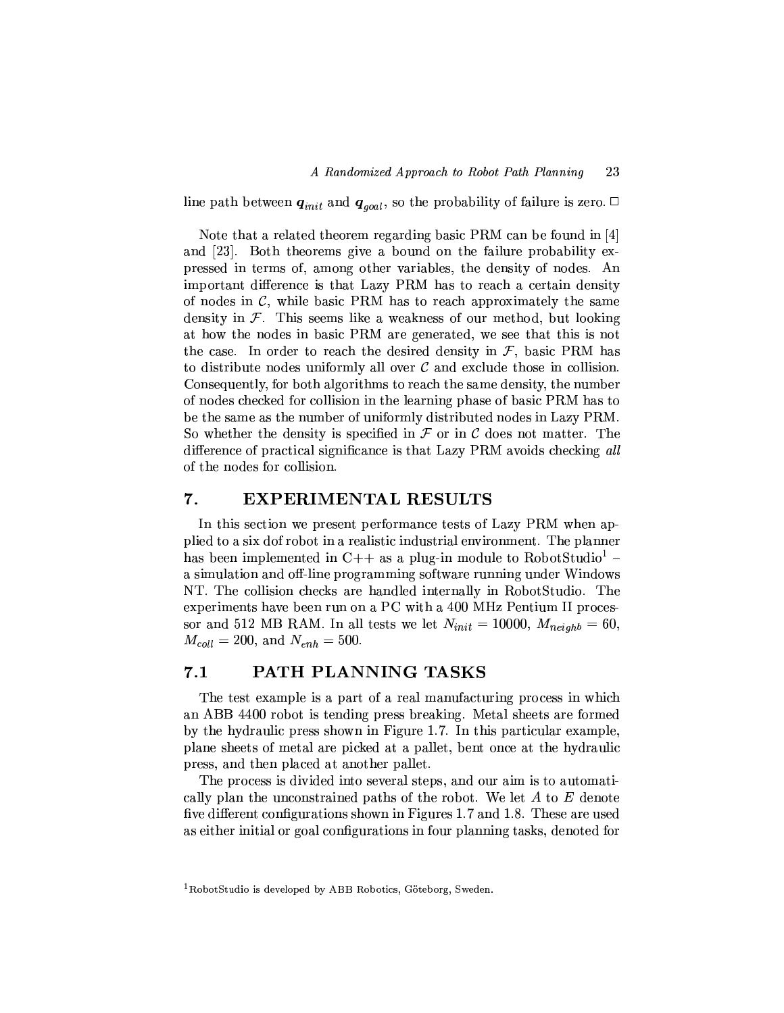line path between  $q_{init}$  and  $q_{goal}$ , so the probability of failure is zero.  $\Box$ 

Note that a related theorem regarding basic PRM can be found in  $[4]$ and [23]. Both theorems give a bound on the failure probability expressed in terms of, among other variables, the density of nodes. An important difference is that Lazy PRM has to reach a certain density of nodes in  $C$ , while basic PRM has to reach approximately the same density in  $\mathcal F$ . This seems like a weakness of our method, but looking at how the nodes in basic PRM are generated, we see that this is not the case. In order to reach the desired density in  $\mathcal{F}$ , basic PRM has to distribute nodes uniformly all over  $\mathcal C$  and exclude those in collision. Consequently, for both algorithms to reach the same density, the number of nodes checked for collision in the learning phase of basic PRM has to be the same as the number of uniformly distributed nodes in Lazy PRM. So whether the density is specified in  $\mathcal F$  or in  $\mathcal C$  does not matter. The difference of practical significance is that Lazy PRM avoids checking all of the nodes for collision.

#### 7. **EXPERIMENTAL RESULTS**

In this section we present performance tests of Lazy PRM when applied to a six dof robot in a realistic industrial environment. The planner has been implemented in C++ as a plug-in module to RobotStudio<sup>1</sup> – a simulation and off-line programming software running under Windows NT. The collision checks are handled internally in RobotStudio. The experiments have been run on a PC with a 400 MHz Pentium II processor and 512 MB RAM. In all tests we let  $N_{init} = 10000$ ,  $M_{neighb} = 60$ ,  $M_{coll} = 200$ , and  $N_{enh} = 500$ .

#### PATH PLANNING TASKS  $7.1$

The test example is a part of a real manufacturing process in which an ABB 4400 robot is tending press breaking. Metal sheets are formed by the hydraulic press shown in Figure 1.7. In this particular example, plane sheets of metal are picked at a pallet, bent once at the hydraulic press, and then placed at another pallet.

The process is divided into several steps, and our aim is to automatically plan the unconstrained paths of the robot. We let  $A$  to  $E$  denote five different configurations shown in Figures 1.7 and 1.8. These are used as either initial or goal configurations in four planning tasks, denoted for

<sup>&</sup>lt;sup>1</sup>RobotStudio is developed by ABB Robotics, Göteborg, Sweden.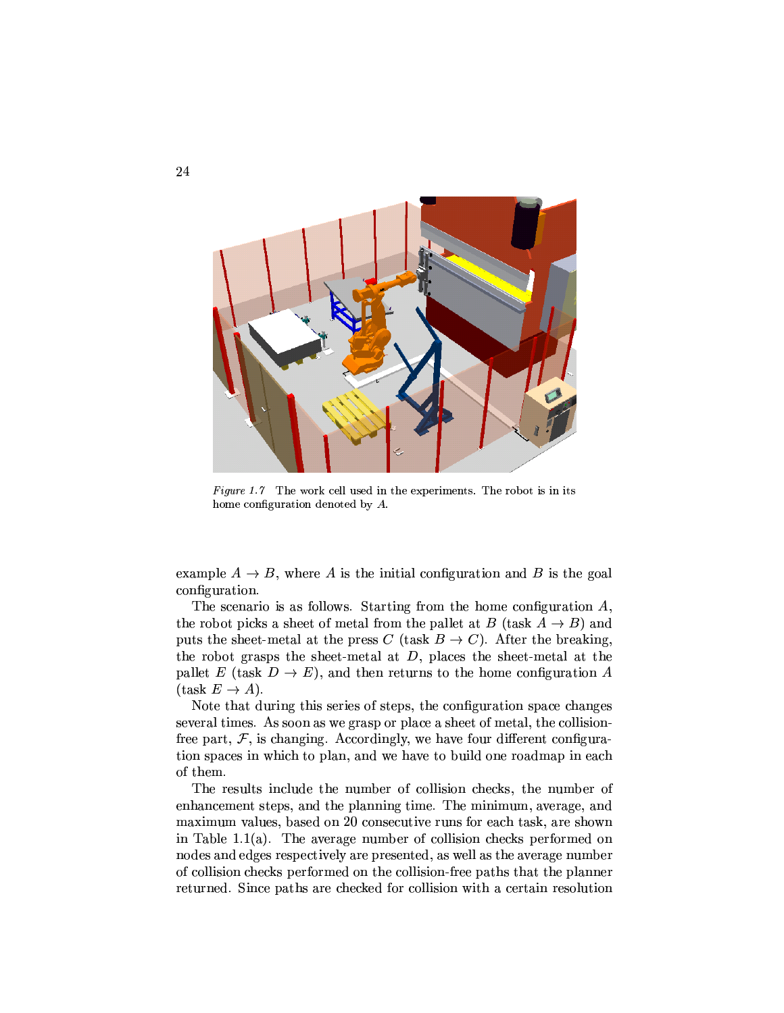

Figure 1.7 The work cell used in the experiments. The robot is in its home configuration denoted by  $A$ .

example  $A \rightarrow B$ , where A is the initial configuration and B is the goal configuration.

The scenario is as follows. Starting from the home configuration  $A$ , the robot picks a sheet of metal from the pallet at B (task  $A \rightarrow B$ ) and puts the sheet-metal at the press C (task  $B \to C$ ). After the breaking, the robot grasps the sheet-metal at  $D$ , places the sheet-metal at the pallet E (task  $D \to E$ ), and then returns to the home configuration A  $(\text{task } E \rightarrow A).$ 

Note that during this series of steps, the configuration space changes several times. As soon as we grasp or place a sheet of metal, the collisionfree part,  $F$ , is changing. Accordingly, we have four different configuration spaces in which to plan, and we have to build one roadmap in each of them.

The results include the number of collision checks, the number of enhancement steps, and the planning time. The minimum, average, and maximum values, based on 20 consecutive runs for each task, are shown in Table 1.1(a). The average number of collision checks performed on nodes and edges respectively are presented, as well as the average number of collision checks performed on the collision-free paths that the planner returned. Since paths are checked for collision with a certain resolution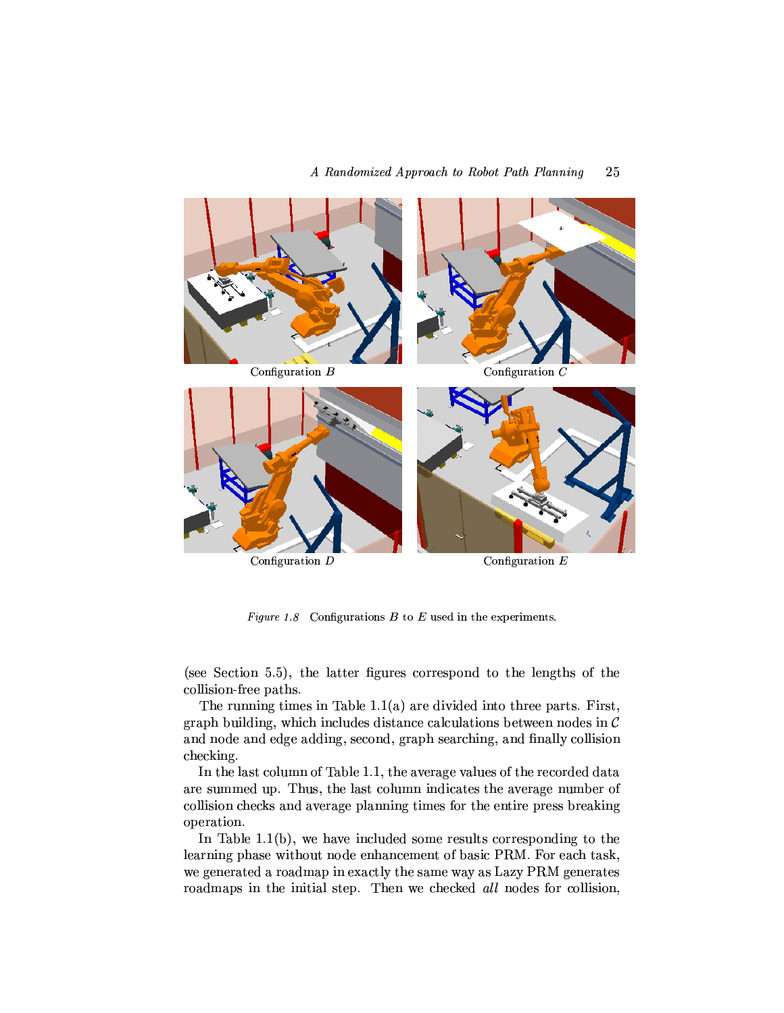

Figure 1.8 Configurations  $B$  to  $E$  used in the experiments.

(see Section 5.5), the latter figures correspond to the lengths of the collision-free paths.

The running times in Table 1.1(a) are divided into three parts. First, graph building, which includes distance calculations between nodes in  $\mathcal C$ and node and edge adding, second, graph searching, and finally collision checking.

In the last column of Table 1.1, the average values of the recorded data are summed up. Thus, the last column indicates the average number of collision checks and average planning times for the entire press breaking operation.

In Table 1.1(b), we have included some results corresponding to the learning phase without node enhancement of basic PRM. For each task, we generated a roadmap in exactly the same way as Lazy PRM generates roadmaps in the initial step. Then we checked all nodes for collision,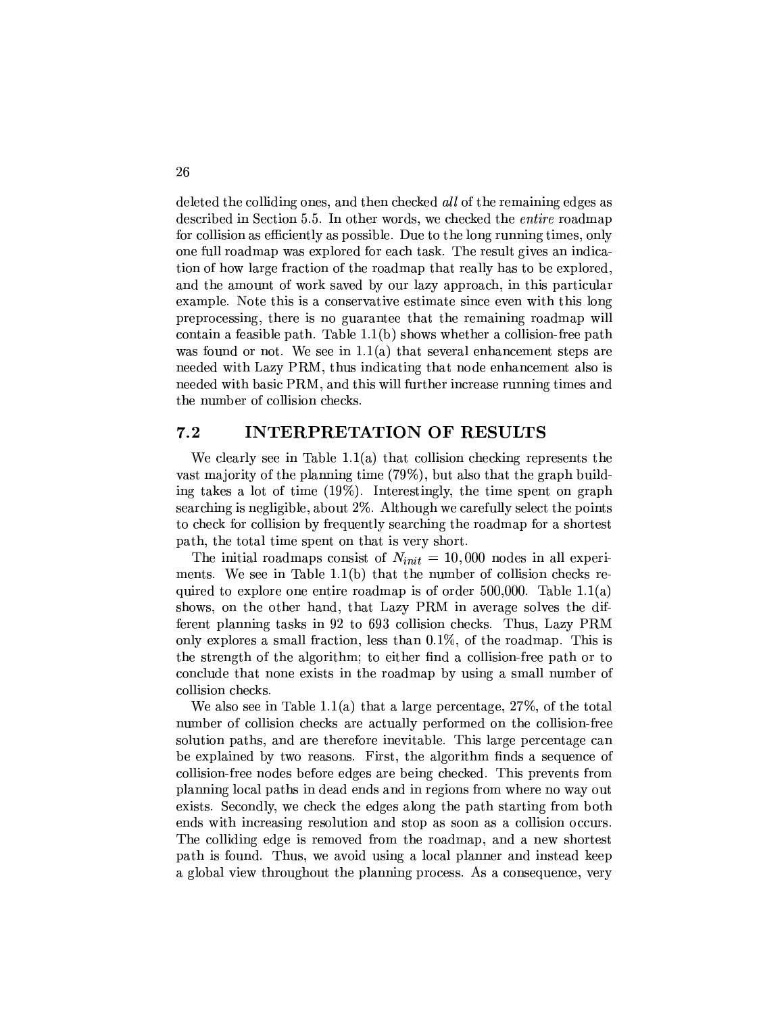deleted the colliding ones, and then checked all of the remaining edges as described in Section 5.5. In other words, we checked the *entire* roadmap for collision as efficiently as possible. Due to the long running times, only one full roadmap was explored for each task. The result gives an indication of how large fraction of the roadmap that really has to be explored, and the amount of work saved by our lazy approach, in this particular example. Note this is a conservative estimate since even with this long preprocessing, there is no guarantee that the remaining roadmap will contain a feasible path. Table  $1.1(b)$  shows whether a collision-free path was found or not. We see in  $1.1(a)$  that several enhancement steps are needed with Lazy PRM, thus indicating that node enhancement also is needed with basic PRM, and this will further increase running times and the number of collision checks.

#### $7.2$ **INTERPRETATION OF RESULTS**

We clearly see in Table  $1.1(a)$  that collision checking represents the vast majority of the planning time (79%), but also that the graph building takes a lot of time (19%). Interestingly, the time spent on graph searching is negligible, about  $2\%$ . Although we carefully select the points to check for collision by frequently searching the roadmap for a shortest path, the total time spent on that is very short.

The initial roadmaps consist of  $N_{init} = 10,000$  nodes in all experiments. We see in Table  $1.1(b)$  that the number of collision checks required to explore one entire roadmap is of order  $500,000$ . Table 1.1(a) shows, on the other hand, that Lazy PRM in average solves the different planning tasks in 92 to 693 collision checks. Thus, Lazy PRM only explores a small fraction, less than  $0.1\%$ , of the roadmap. This is the strength of the algorithm; to either find a collision-free path or to conclude that none exists in the roadmap by using a small number of collision checks.

We also see in Table 1.1(a) that a large percentage,  $27\%$ , of the total number of collision checks are actually performed on the collision-free solution paths, and are therefore inevitable. This large percentage can be explained by two reasons. First, the algorithm finds a sequence of collision-free nodes before edges are being checked. This prevents from planning local paths in dead ends and in regions from where no way out exists. Secondly, we check the edges along the path starting from both ends with increasing resolution and stop as soon as a collision occurs. The colliding edge is removed from the roadmap, and a new shortest path is found. Thus, we avoid using a local planner and instead keep a global view throughout the planning process. As a consequence, very

26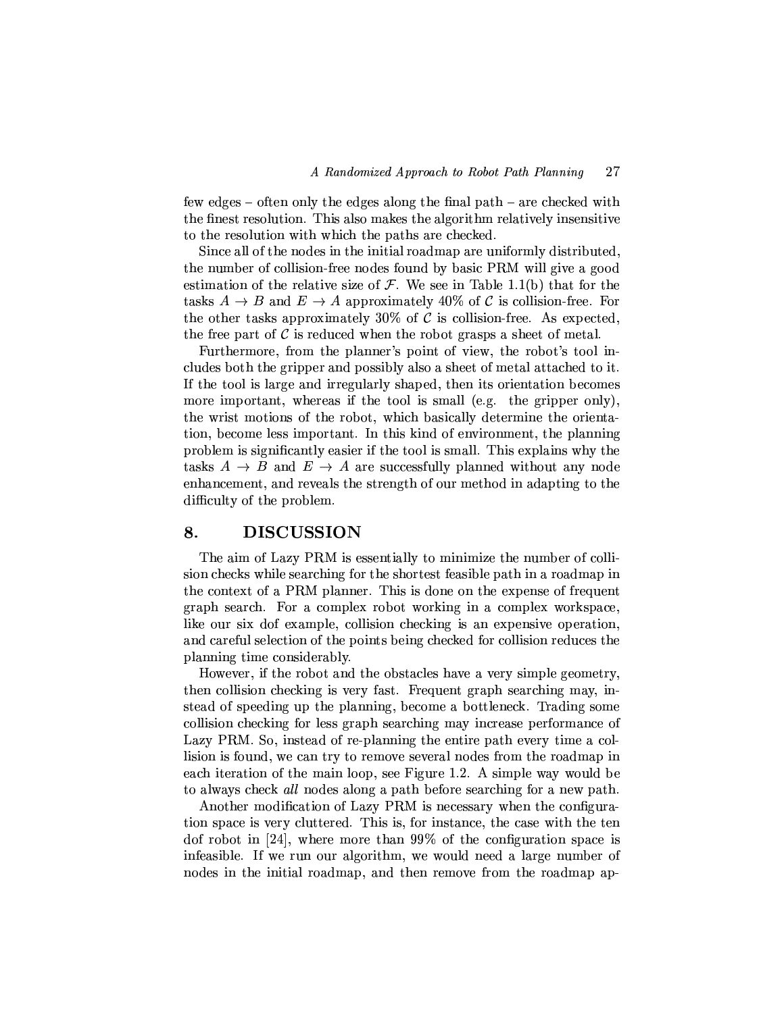few edges – often only the edges along the final path – are checked with the finest resolution. This also makes the algorithm relatively insensitive to the resolution with which the paths are checked.

Since all of the nodes in the initial roadmap are uniformly distributed, the number of collision-free nodes found by basic PRM will give a good estimation of the relative size of  $\mathcal F$ . We see in Table 1.1(b) that for the tasks  $A \rightarrow B$  and  $E \rightarrow A$  approximately 40% of C is collision-free. For the other tasks approximately 30% of  $\mathcal C$  is collision-free. As expected, the free part of  $\mathcal C$  is reduced when the robot grasps a sheet of metal.

Furthermore, from the planner's point of view, the robot's tool includes both the gripper and possibly also a sheet of metal attached to it. If the tool is large and irregularly shaped, then its orientation becomes more important, whereas if the tool is small (e.g. the gripper only), the wrist motions of the robot, which basically determine the orientation, become less important. In this kind of environment, the planning problem is significantly easier if the tool is small. This explains why the tasks  $A \rightarrow B$  and  $E \rightarrow A$  are successfully planned without any node enhancement, and reveals the strength of our method in adapting to the difficulty of the problem.

#### **DISCUSSION** 8.

The aim of Lazy PRM is essentially to minimize the number of collision checks while searching for the shortest feasible path in a roadmap in the context of a PRM planner. This is done on the expense of frequent graph search. For a complex robot working in a complex workspace, like our six dof example, collision checking is an expensive operation, and careful selection of the points being checked for collision reduces the planning time considerably.

However, if the robot and the obstacles have a very simple geometry, then collision checking is very fast. Frequent graph searching may, instead of speeding up the planning, become a bottleneck. Trading some collision checking for less graph searching may increase performance of Lazy PRM. So, instead of re-planning the entire path every time a collision is found, we can try to remove several nodes from the roadmap in each iteration of the main loop, see Figure 1.2. A simple way would be to always check all nodes along a path before searching for a new path.

Another modification of Lazy PRM is necessary when the configuration space is very cluttered. This is, for instance, the case with the ten dof robot in [24], where more than  $99\%$  of the configuration space is infeasible. If we run our algorithm, we would need a large number of nodes in the initial roadmap, and then remove from the roadmap ap-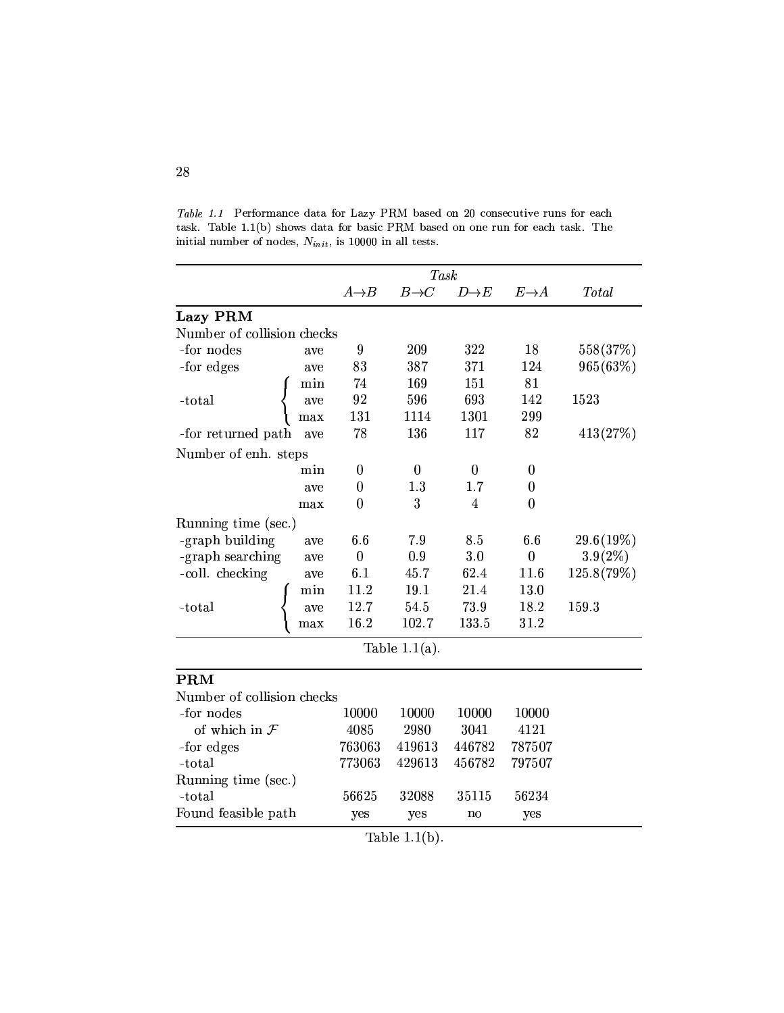|                            |     | <b>Task</b>      |                  |                  |                  |              |
|----------------------------|-----|------------------|------------------|------------------|------------------|--------------|
|                            |     | $A\rightarrow B$ | $B\rightarrow C$ | $D\rightarrow E$ | $E\rightarrow A$ | <b>Total</b> |
| Lazy PRM                   |     |                  |                  |                  |                  |              |
| Number of collision checks |     |                  |                  |                  |                  |              |
| -for nodes                 | ave | 9                | 209              | 322              | 18               | 558(37\%)    |
| -for edges                 | ave | 83               | 387              | 371              | 124              | 965(63%)     |
|                            | min | 74               | 169              | 151              | 81               |              |
| -total                     | ave | 92               | 596              | 693              | 142              | 1523         |
|                            | max | 131              | 1114             | 1301             | 299              |              |
| -for returned path         | ave | 78               | 136              | 117              | 82               | 413(27%)     |
| Number of enh. steps       |     |                  |                  |                  |                  |              |
|                            | min | $\bf{0}$         | $\mathbf{0}$     | $\boldsymbol{0}$ | $\bf{0}$         |              |
|                            | ave | $\bf{0}$         | 1.3              | 1.7              | $\bf{0}$         |              |
|                            | max | $\overline{0}$   | 3                | 4                | $\theta$         |              |
| Running time (sec.)        |     |                  |                  |                  |                  |              |
| -graph building            | ave | 6.6              | 7.9              | 8.5              | 6.6              | 29.6(19%)    |
| -graph searching           | ave | $\boldsymbol{0}$ | 0.9              | 3.0              | $\boldsymbol{0}$ | 3.9(2%)      |
| -coll. checking            | ave | 6.1              | 45.7             | 62.4             | 11.6             | 125.8(79%)   |
|                            | min | 11.2             | 19.1             | 21.4             | 13.0             |              |
| -total                     | ave | 12.7             | 54.5             | 73.9             | 18.2             | 159.3        |
|                            | max | 16.2             | 102.7            | 133.5            | 31.2             |              |
| Table $1.1(a)$ .           |     |                  |                  |                  |                  |              |
| <b>PRM</b>                 |     |                  |                  |                  |                  |              |
| Number of collision checks |     |                  |                  |                  |                  |              |
| -for nodes                 |     | 10000            | 10000            | 10000            | 10000            |              |
| of which in $\mathcal F$   |     | 4085             | 2980             | 3041             | 4121             |              |
| -for edges                 |     | 763063           | 419613           | 446782           | 787507           |              |
| -total                     |     | 773063           | 429613           | 456782           | 797507           |              |
| Running time (sec.)        |     |                  |                  |                  |                  |              |
| -total                     |     | 56625            | 32088            | 35115            | 56234            |              |
| Found feasible path        |     | yes              | yes              | no               | yes              |              |

Table 1.1 Performance data for Lazy PRM based on 20 consecutive runs for each task. Table 1.1(b) shows data for basic PRM based on one run for each task. The initial number of nodes,  $N_{init}$ , is 10000 in all tests.

Table  $1.1(b)$ .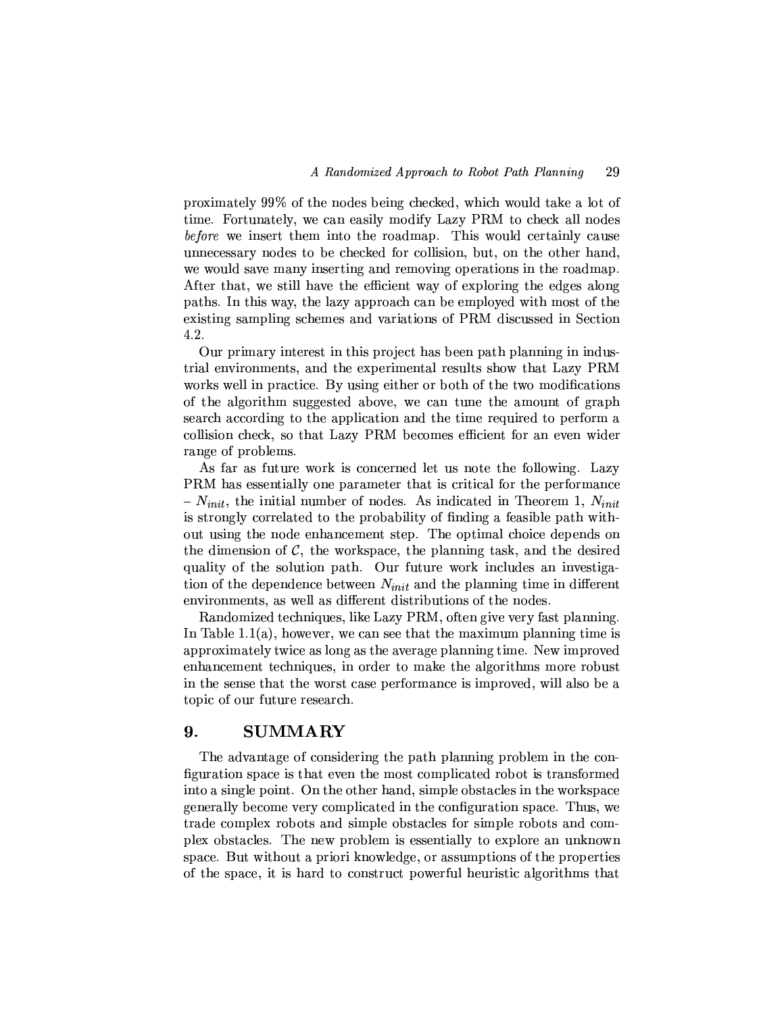proximately 99% of the nodes being checked, which would take a lot of time. Fortunately, we can easily modify Lazy PRM to check all nodes *before* we insert them into the roadmap. This would certainly cause unnecessary nodes to be checked for collision, but, on the other hand, we would save many inserting and removing operations in the roadmap. After that, we still have the efficient way of exploring the edges along paths. In this way, the lazy approach can be employed with most of the existing sampling schemes and variations of PRM discussed in Section 4.2.

Our primary interest in this project has been path planning in industrial environments, and the experimental results show that Lazy PRM works well in practice. By using either or both of the two modifications of the algorithm suggested above, we can tune the amount of graph search according to the application and the time required to perform a collision check, so that Lazy PRM becomes efficient for an even wider range of problems.

As far as future work is concerned let us note the following. Lazy PRM has essentially one parameter that is critical for the performance  $-N_{init}$ , the initial number of nodes. As indicated in Theorem 1,  $N_{init}$ is strongly correlated to the probability of finding a feasible path without using the node enhancement step. The optimal choice depends on the dimension of  $\mathcal{C}$ , the workspace, the planning task, and the desired quality of the solution path. Our future work includes an investigation of the dependence between  $N_{init}$  and the planning time in different environments, as well as different distributions of the nodes.

Randomized techniques, like Lazy PRM, often give very fast planning. In Table 1.1(a), however, we can see that the maximum planning time is approximately twice as long as the average planning time. New improved enhancement techniques, in order to make the algorithms more robust in the sense that the worst case performance is improved, will also be a topic of our future research.

#### 9. **SUMMARY**

The advantage of considering the path planning problem in the configuration space is that even the most complicated robot is transformed into a single point. On the other hand, simple obstacles in the workspace generally become very complicated in the configuration space. Thus, we trade complex robots and simple obstacles for simple robots and complex obstacles. The new problem is essentially to explore an unknown space. But without a priori knowledge, or assumptions of the properties of the space, it is hard to construct powerful heuristic algorithms that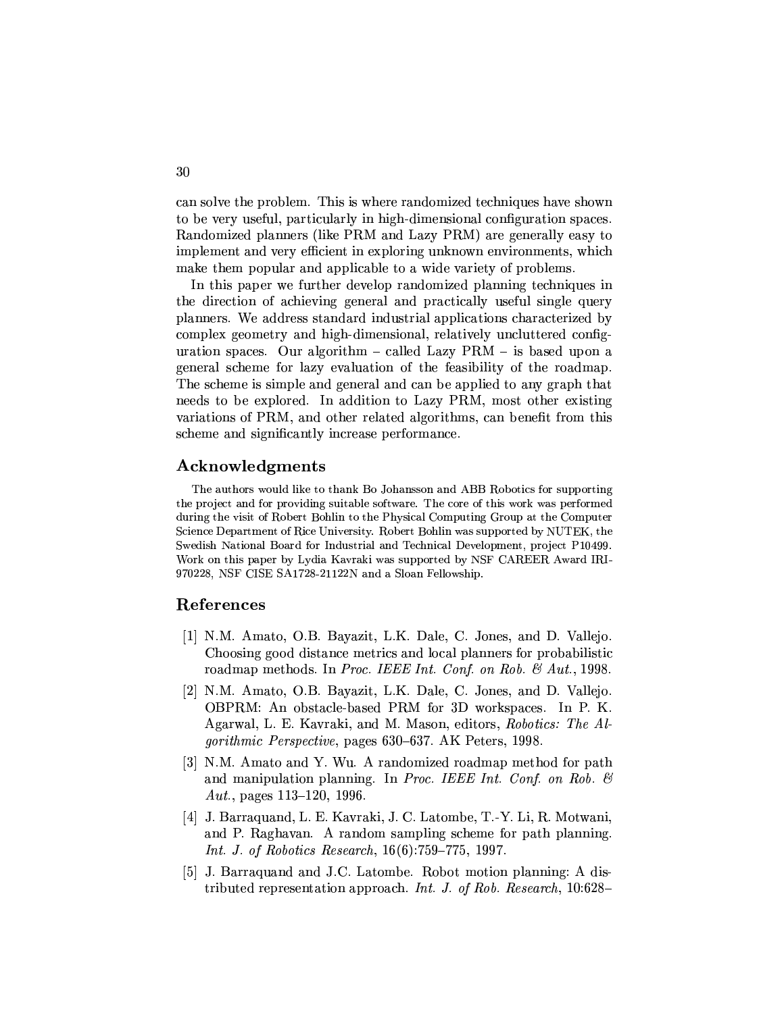can solve the problem. This is where randomized techniques have shown to be very useful, particularly in high-dimensional configuration spaces. Randomized planners (like PRM and Lazy PRM) are generally easy to implement and very efficient in exploring unknown environments, which make them popular and applicable to a wide variety of problems.

In this paper we further develop randomized planning techniques in the direction of achieving general and practically useful single query planners. We address standard industrial applications characterized by complex geometry and high-dimensional, relatively uncluttered configuration spaces. Our algorithm  $-$  called Lazy PRM  $-$  is based upon a general scheme for lazy evaluation of the feasibility of the roadmap. The scheme is simple and general and can be applied to any graph that needs to be explored. In addition to Lazy PRM, most other existing variations of PRM, and other related algorithms, can benefit from this scheme and significantly increase performance.

# Acknowledgments

The authors would like to thank Bo Johansson and ABB Robotics for supporting the project and for providing suitable software. The core of this work was performed during the visit of Robert Bohlin to the Physical Computing Group at the Computer Science Department of Rice University. Robert Bohlin was supported by NUTEK, the Swedish National Board for Industrial and Technical Development, project P10499. Work on this paper by Lydia Kavraki was supported by NSF CAREER Award IRI-970228, NSF CISE SA1728-21122N and a Sloan Fellowship.

# **References**

- [1] N.M. Amato, O.B. Bayazit, L.K. Dale, C. Jones, and D. Vallejo. Choosing good distance metrics and local planners for probabilistic roadmap methods. In Proc. IEEE Int. Conf. on Rob. & Aut., 1998.
- [2] N.M. Amato, O.B. Bayazit, L.K. Dale, C. Jones, and D. Vallejo. OBPRM: An obstacle-based PRM for 3D workspaces. In P. K. Agarwal, L. E. Kavraki, and M. Mason, editors, Robotics: The Algorithmic Perspective, pages 630-637. AK Peters, 1998.
- [3] N.M. Amato and Y. Wu. A randomized roadmap method for path and manipulation planning. In Proc. IEEE Int. Conf. on Rob.  $\mathcal{C}$ Aut., pages  $113-120$ , 1996.
- [4] J. Barraquand, L. E. Kavraki, J. C. Latombe, T.-Y. Li, R. Motwani, and P. Raghavan. A random sampling scheme for path planning. *Int. J. of Robotics Research*,  $16(6)$ :759-775, 1997.
- [5] J. Barraquand and J.C. Latombe. Robot motion planning: A distributed representation approach. Int. J. of Rob. Research,  $10:628-$

30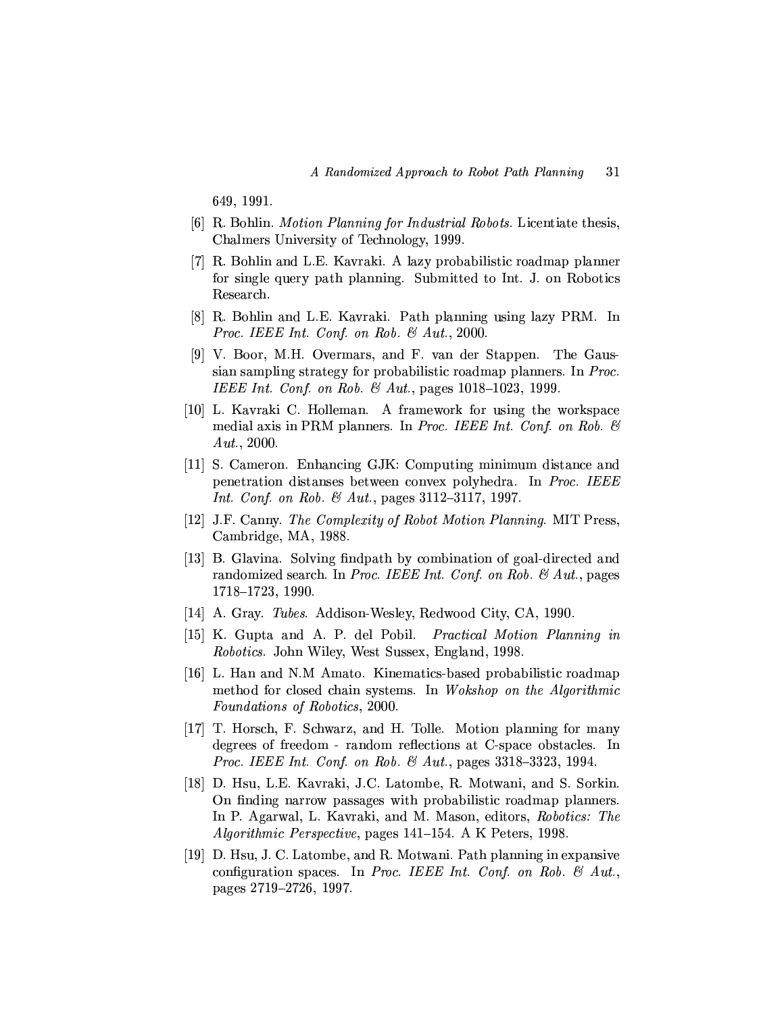649, 1991.

- [6] R. Bohlin. *Motion Planning for Industrial Robots.* Licentiate thesis, Chalmers University of Technology, 1999.
- [7] R. Bohlin and L.E. Kayraki. A lazy probabilistic roadmap planner for single query path planning. Submitted to Int. J. on Robotics Research.
- [8] R. Bohlin and L.E. Kavraki. Path planning using lazy PRM. In Proc. IEEE Int. Conf. on Rob. & Aut., 2000.
- [9] V. Boor, M.H. Overmars, and F. van der Stappen. The Gaussian sampling strategy for probabilistic roadmap planners. In Proc. IEEE Int. Conf. on Rob.  $\mathcal{B}$  Aut., pages 1018-1023, 1999.
- [10] L. Kavraki C. Holleman. A framework for using the workspace medial axis in PRM planners. In *Proc. IEEE Int. Conf. on Rob.*  $\mathcal{B}$  $Aut., 2000.$
- [11] S. Cameron. Enhancing GJK: Computing minimum distance and penetration distanses between convex polyhedra. In *Proc. IEEE Int. Conf. on Rob.*  $\&$  *Aut.*, pages 3112-3117, 1997.
- [12] J.F. Canny. The Complexity of Robot Motion Planning. MIT Press, Cambridge, MA, 1988.
- [13] B. Glavina. Solving findpath by combination of goal-directed and randomized search. In Proc. IEEE Int. Conf. on Rob.  $\mathcal{C}$  Aut., pages 1718-1723, 1990.
- [14] A. Gray. *Tubes.* Addison-Wesley, Redwood City, CA, 1990.
- [15] K. Gupta and A. P. del Pobil. *Practical Motion Planning in Robotics.* John Wiley, West Sussex, England, 1998.
- [16] L. Han and N.M Amato. Kinematics-based probabilistic roadmap method for closed chain systems. In Wokshop on the Algorithmic Foundations of Robotics, 2000.
- [17] T. Horsch, F. Schwarz, and H. Tolle. Motion planning for many degrees of freedom - random reflections at C-space obstacles. In *Proc. IEEE Int. Conf. on Rob. & Aut.*, pages  $3318-3323$ , 1994.
- [18] D. Hsu, L.E. Kavraki, J.C. Latombe, R. Motwani, and S. Sorkin. On finding narrow passages with probabilistic roadmap planners. In P. Agarwal, L. Kavraki, and M. Mason, editors, Robotics: The *Algorithmic Perspective*, pages 141–154. A K Peters, 1998.
- [19] D. Hsu, J. C. Latombe, and R. Motwani. Path planning in expansive configuration spaces. In Proc. IEEE Int. Conf. on Rob.  $\mathcal{B}$  Aut., pages 2719–2726, 1997.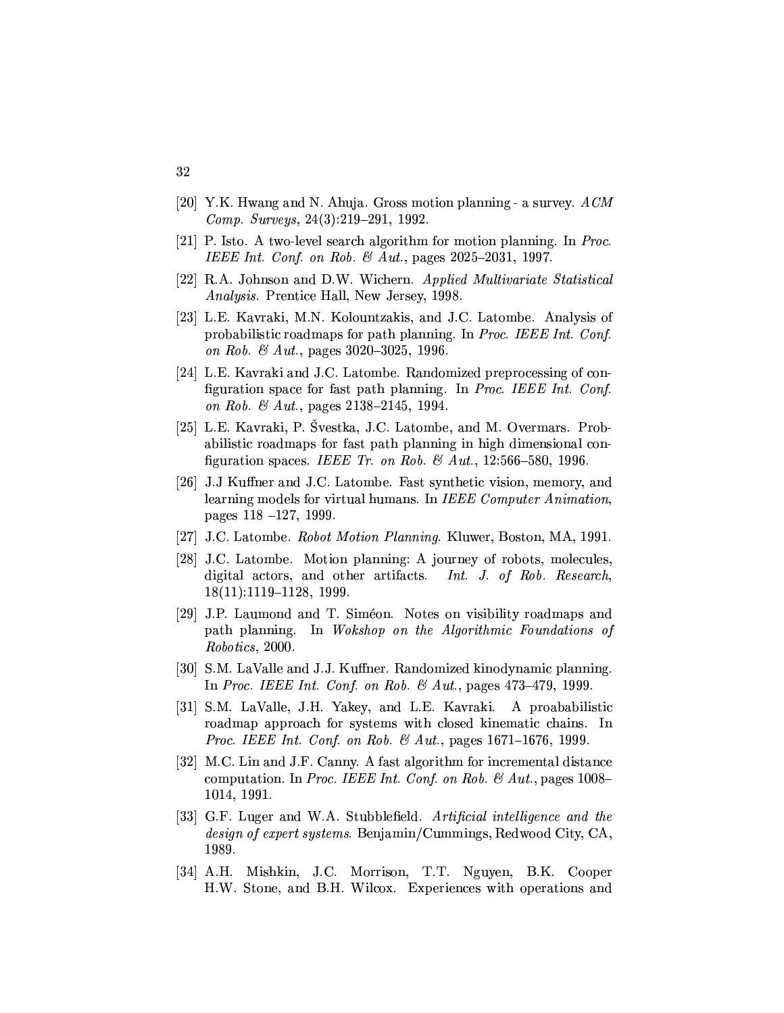- [20] Y.K. Hwang and N. Ahuja. Gross motion planning a survey.  $ACM$ *Comp.* Surveys,  $24(3):219-291$ , 1992.
- [21] P. Isto. A two-level search algorithm for motion planning. In Proc. IEEE Int. Conf. on Rob. & Aut., pages  $2025-2031$ , 1997.
- [22] R.A. Johnson and D.W. Wichern. Applied Multivariate Statistical Analysis. Prentice Hall, New Jersey, 1998.
- [23] L.E. Kavraki, M.N. Kolountzakis, and J.C. Latombe. Analysis of probabilistic roadmaps for path planning. In Proc. IEEE Int. Conf. on Rob. & Aut., pages 3020-3025, 1996.
- [24] L.E. Kavraki and J.C. Latombe. Randomized preprocessing of configuration space for fast path planning. In Proc. IEEE Int. Conf. on Rob. & Aut., pages  $2138-2145$ , 1994.
- [25] L.E. Kavraki, P. Švestka, J.C. Latombe, and M. Overmars. Probabilistic roadmaps for fast path planning in high dimensional configuration spaces. IEEE Tr. on Rob. & Aut., 12:566-580, 1996.
- [26] J.J Kuffner and J.C. Latombe. Fast synthetic vision, memory, and learning models for virtual humans. In IEEE Computer Animation. pages  $118 - 127$ , 1999.
- [27] J.C. Latombe. Robot Motion Planning. Kluwer, Boston, MA, 1991.
- [28] J.C. Latombe. Motion planning: A journey of robots, molecules, digital actors, and other artifacts. Int. J. of Rob. Research,  $18(11):1119-1128, 1999.$
- [29] J.P. Laumond and T. Siméon. Notes on visibility roadmaps and path planning. In Wokshop on the Algorithmic Foundations of Robotics, 2000.
- [30] S.M. LaValle and J.J. Kuffner. Randomized kinodynamic planning. In Proc. IEEE Int. Conf. on Rob. & Aut., pages  $473-479$ , 1999.
- [31] S.M. LaValle, J.H. Yakey, and L.E. Kavraki. A proababilistic roadmap approach for systems with closed kinematic chains. In *Proc. IEEE Int. Conf. on Rob. & Aut.*, pages  $1671-1676$ , 1999.
- [32] M.C. Lin and J.F. Canny. A fast algorithm for incremental distance computation. In Proc. IEEE Int. Conf. on Rob. & Aut., pages 1008-1014, 1991.
- [33] G.F. Luger and W.A. Stubblefield. Artificial intelligence and the *design of expert systems.* Benjamin/Cummings, Redwood City, CA, 1989.
- [34] A.H. Mishkin, J.C. Morrison, T.T. Nguyen, B.K. Cooper H.W. Stone, and B.H. Wilcox. Experiences with operations and

32